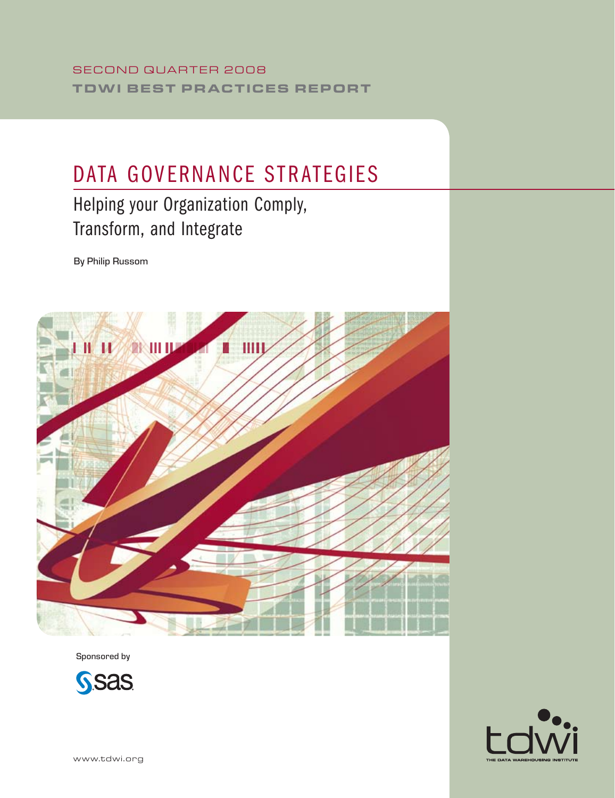# DATA GOVERNANCE STRATEGIES

# Helping your Organization Comply, Transform, and Integrate

By Philip Russom



Sponsored by



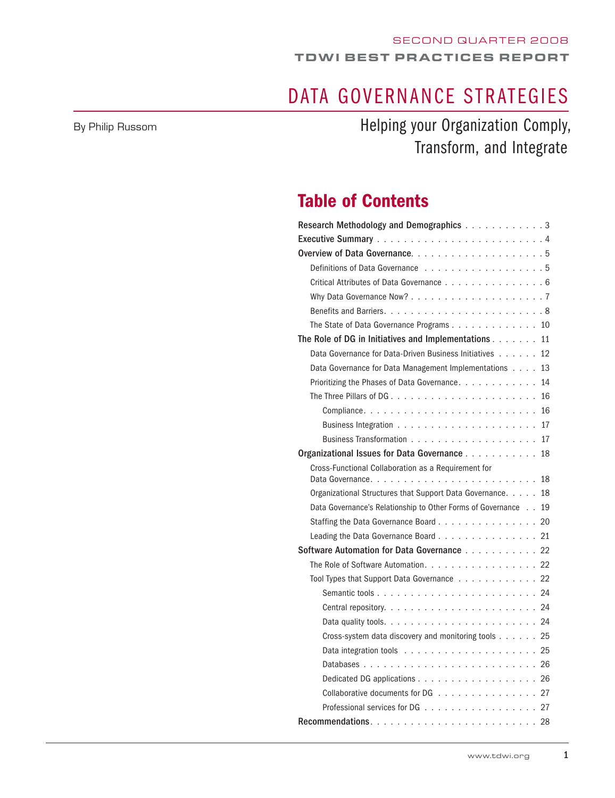# DATA GOVERNANCE STRATEGIES

By Philip Russom

Helping your Organization Comply, Transform, and Integrate

## Table of Contents

| Research Methodology and Demographics 3                        |
|----------------------------------------------------------------|
|                                                                |
|                                                                |
| Definitions of Data Governance 5                               |
| Critical Attributes of Data Governance 6                       |
|                                                                |
|                                                                |
| The State of Data Governance Programs 10                       |
| The Role of DG in Initiatives and Implementations 11           |
| Data Governance for Data-Driven Business Initiatives 12        |
| Data Governance for Data Management Implementations 13         |
| Prioritizing the Phases of Data Governance. 14                 |
|                                                                |
|                                                                |
|                                                                |
|                                                                |
| Organizational Issues for Data Governance<br>18                |
| Cross-Functional Collaboration as a Requirement for            |
|                                                                |
| Organizational Structures that Support Data Governance. 18     |
| Data Governance's Relationship to Other Forms of Governance 19 |
| Staffing the Data Governance Board 20                          |
| Leading the Data Governance Board 21                           |
| Software Automation for Data Governance 22                     |
| The Role of Software Automation. 22                            |
| Tool Types that Support Data Governance 22                     |
|                                                                |
|                                                                |
|                                                                |
| Cross-system data discovery and monitoring tools 25            |
|                                                                |
|                                                                |
|                                                                |
| Collaborative documents for DG $\ldots$ , 27                   |
|                                                                |
|                                                                |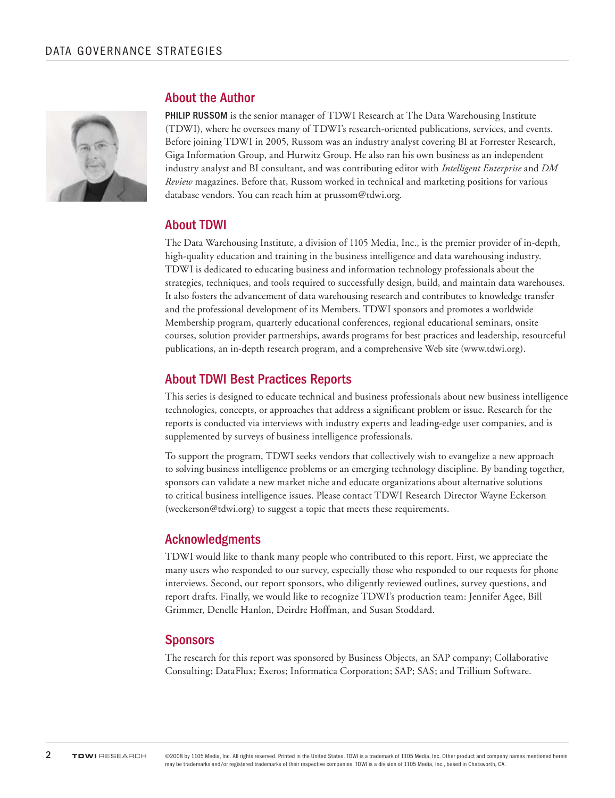

### About the Author

PHILIP RUSSOM is the senior manager of TDWI Research at The Data Warehousing Institute (TDWI), where he oversees many of TDWI's research-oriented publications, services, and events. Before joining TDWI in 2005, Russom was an industry analyst covering BI at Forrester Research, Giga Information Group, and Hurwitz Group. He also ran his own business as an independent industry analyst and BI consultant, and was contributing editor with *Intelligent Enterprise* and *DM Review* magazines. Before that, Russom worked in technical and marketing positions for various database vendors. You can reach him at prussom@tdwi.org.

### About TDWI

The Data Warehousing Institute, a division of 1105 Media, Inc., is the premier provider of in-depth, high-quality education and training in the business intelligence and data warehousing industry. TDWI is dedicated to educating business and information technology professionals about the strategies, techniques, and tools required to successfully design, build, and maintain data warehouses. It also fosters the advancement of data warehousing research and contributes to knowledge transfer and the professional development of its Members. TDWI sponsors and promotes a worldwide Membership program, quarterly educational conferences, regional educational seminars, onsite courses, solution provider partnerships, awards programs for best practices and leadership, resourceful publications, an in-depth research program, and a comprehensive Web site (www.tdwi.org).

### About TDWI Best Practices Reports

This series is designed to educate technical and business professionals about new business intelligence technologies, concepts, or approaches that address a significant problem or issue. Research for the reports is conducted via interviews with industry experts and leading-edge user companies, and is supplemented by surveys of business intelligence professionals.

To support the program, TDWI seeks vendors that collectively wish to evangelize a new approach to solving business intelligence problems or an emerging technology discipline. By banding together, sponsors can validate a new market niche and educate organizations about alternative solutions to critical business intelligence issues. Please contact TDWI Research Director Wayne Eckerson (weckerson@tdwi.org) to suggest a topic that meets these requirements.

### Acknowledgments

TDWI would like to thank many people who contributed to this report. First, we appreciate the many users who responded to our survey, especially those who responded to our requests for phone interviews. Second, our report sponsors, who diligently reviewed outlines, survey questions, and report drafts. Finally, we would like to recognize TDWI's production team: Jennifer Agee, Bill Grimmer, Denelle Hanlon, Deirdre Hoffman, and Susan Stoddard.

### **Sponsors**

The research for this report was sponsored by Business Objects, an SAP company; Collaborative Consulting; DataFlux; Exeros; Informatica Corporation; SAP; SAS; and Trillium Software.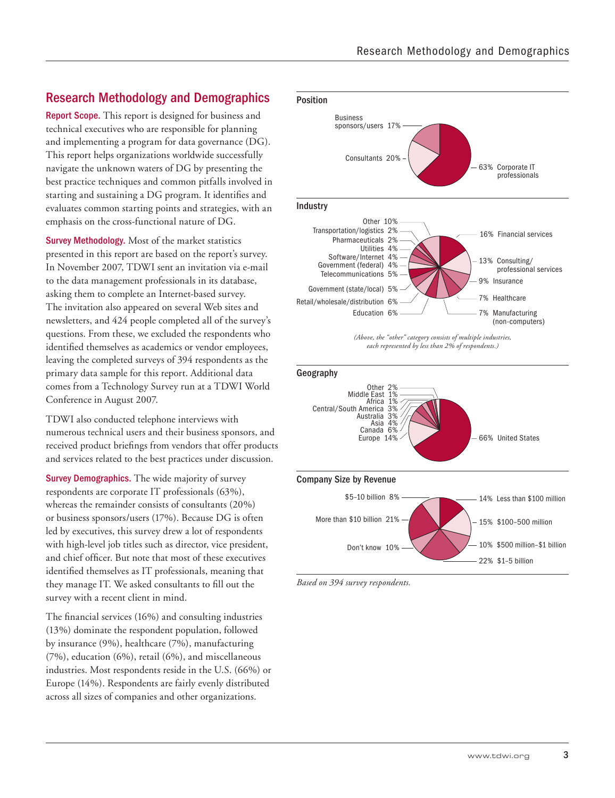### Research Methodology and Demographics

Report Scope. This report is designed for business and technical executives who are responsible for planning and implementing a program for data governance (DG). This report helps organizations worldwide successfully navigate the unknown waters of DG by presenting the best practice techniques and common pitfalls involved in starting and sustaining a DG program. It identifies and evaluates common starting points and strategies, with an emphasis on the cross-functional nature of DG.

Survey Methodology. Most of the market statistics presented in this report are based on the report's survey. In November 2007, TDWI sent an invitation via e-mail to the data management professionals in its database, asking them to complete an Internet-based survey. The invitation also appeared on several Web sites and newsletters, and 424 people completed all of the survey's questions. From these, we excluded the respondents who identified themselves as academics or vendor employees, leaving the completed surveys of 394 respondents as the primary data sample for this report. Additional data comes from a Technology Survey run at a TDWI World Conference in August 2007.

TDWI also conducted telephone interviews with numerous technical users and their business sponsors, and received product briefings from vendors that offer products and services related to the best practices under discussion.

Survey Demographics. The wide majority of survey respondents are corporate IT professionals (63%), whereas the remainder consists of consultants (20%) or business sponsors/users (17%). Because DG is often led by executives, this survey drew a lot of respondents with high-level job titles such as director, vice president, and chief officer. But note that most of these executives identified themselves as IT professionals, meaning that they manage IT. We asked consultants to fill out the survey with a recent client in mind.

The financial services (16%) and consulting industries (13%) dominate the respondent population, followed by insurance (9%), healthcare (7%), manufacturing  $(7%)$ , education  $(6%)$ , retail  $(6%)$ , and miscellaneous industries. Most respondents reside in the U.S. (66%) or Europe (14%). Respondents are fairly evenly distributed across all sizes of companies and other organizations.





*Based on 394 survey respondents.*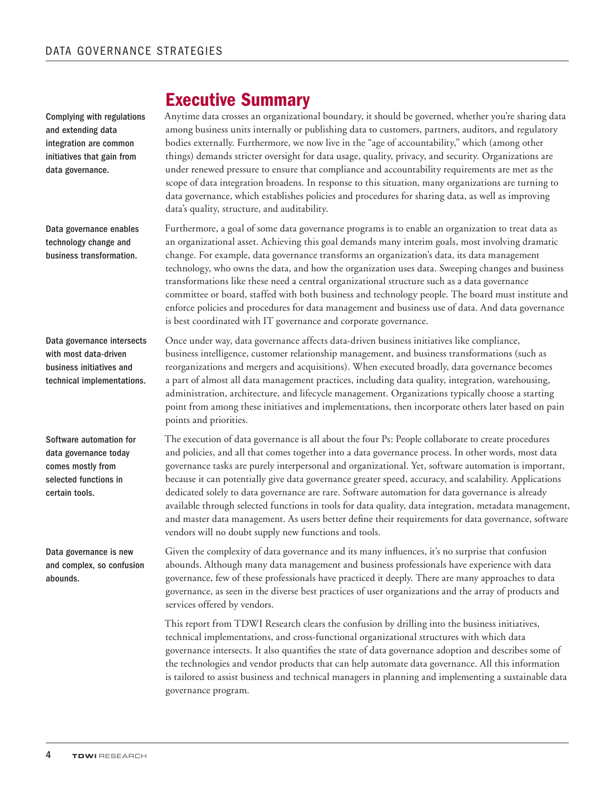Complying with regulations and extending data integration are common initiatives that gain from data governance.

Data governance enables technology change and business transformation.

Data governance intersects with most data-driven business initiatives and technical implementations.

Software automation for data governance today comes mostly from selected functions in certain tools.

Data governance is new and complex, so confusion abounds.

## Executive Summary

Anytime data crosses an organizational boundary, it should be governed, whether you're sharing data among business units internally or publishing data to customers, partners, auditors, and regulatory bodies externally. Furthermore, we now live in the "age of accountability," which (among other things) demands stricter oversight for data usage, quality, privacy, and security. Organizations are under renewed pressure to ensure that compliance and accountability requirements are met as the scope of data integration broadens. In response to this situation, many organizations are turning to data governance, which establishes policies and procedures for sharing data, as well as improving data's quality, structure, and auditability.

Furthermore, a goal of some data governance programs is to enable an organization to treat data as an organizational asset. Achieving this goal demands many interim goals, most involving dramatic change. For example, data governance transforms an organization's data, its data management technology, who owns the data, and how the organization uses data. Sweeping changes and business transformations like these need a central organizational structure such as a data governance committee or board, staffed with both business and technology people. The board must institute and enforce policies and procedures for data management and business use of data. And data governance is best coordinated with IT governance and corporate governance.

Once under way, data governance affects data-driven business initiatives like compliance, business intelligence, customer relationship management, and business transformations (such as reorganizations and mergers and acquisitions). When executed broadly, data governance becomes a part of almost all data management practices, including data quality, integration, warehousing, administration, architecture, and lifecycle management. Organizations typically choose a starting point from among these initiatives and implementations, then incorporate others later based on pain points and priorities.

The execution of data governance is all about the four Ps: People collaborate to create procedures and policies, and all that comes together into a data governance process. In other words, most data governance tasks are purely interpersonal and organizational. Yet, software automation is important, because it can potentially give data governance greater speed, accuracy, and scalability. Applications dedicated solely to data governance are rare. Software automation for data governance is already available through selected functions in tools for data quality, data integration, metadata management, and master data management. As users better define their requirements for data governance, software vendors will no doubt supply new functions and tools.

Given the complexity of data governance and its many influences, it's no surprise that confusion abounds. Although many data management and business professionals have experience with data governance, few of these professionals have practiced it deeply. There are many approaches to data governance, as seen in the diverse best practices of user organizations and the array of products and services offered by vendors.

This report from TDWI Research clears the confusion by drilling into the business initiatives, technical implementations, and cross-functional organizational structures with which data governance intersects. It also quantifies the state of data governance adoption and describes some of the technologies and vendor products that can help automate data governance. All this information is tailored to assist business and technical managers in planning and implementing a sustainable data governance program.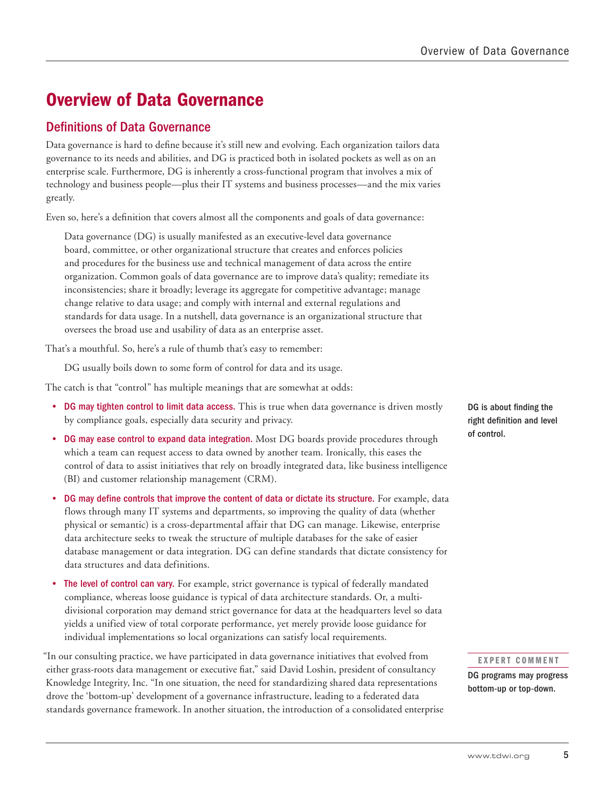## Overview of Data Governance

### Definitions of Data Governance

Data governance is hard to define because it's still new and evolving. Each organization tailors data governance to its needs and abilities, and DG is practiced both in isolated pockets as well as on an enterprise scale. Furthermore, DG is inherently a cross-functional program that involves a mix of technology and business people—plus their IT systems and business processes—and the mix varies greatly.

Even so, here's a definition that covers almost all the components and goals of data governance:

Data governance (DG) is usually manifested as an executive-level data governance board, committee, or other organizational structure that creates and enforces policies and procedures for the business use and technical management of data across the entire organization. Common goals of data governance are to improve data's quality; remediate its inconsistencies; share it broadly; leverage its aggregate for competitive advantage; manage change relative to data usage; and comply with internal and external regulations and standards for data usage. In a nutshell, data governance is an organizational structure that oversees the broad use and usability of data as an enterprise asset.

That's a mouthful. So, here's a rule of thumb that's easy to remember:

DG usually boils down to some form of control for data and its usage.

The catch is that "control" has multiple meanings that are somewhat at odds:

- DG may tighten control to limit data access. This is true when data governance is driven mostly by compliance goals, especially data security and privacy.
- DG may ease control to expand data integration. Most DG boards provide procedures through which a team can request access to data owned by another team. Ironically, this eases the control of data to assist initiatives that rely on broadly integrated data, like business intelligence (BI) and customer relationship management (CRM).
- DG may define controls that improve the content of data or dictate its structure. For example, data flows through many IT systems and departments, so improving the quality of data (whether physical or semantic) is a cross-departmental affair that DG can manage. Likewise, enterprise data architecture seeks to tweak the structure of multiple databases for the sake of easier database management or data integration. DG can define standards that dictate consistency for data structures and data definitions.
- The level of control can vary. For example, strict governance is typical of federally mandated compliance, whereas loose guidance is typical of data architecture standards. Or, a multidivisional corporation may demand strict governance for data at the headquarters level so data yields a unified view of total corporate performance, yet merely provide loose guidance for individual implementations so local organizations can satisfy local requirements.

"In our consulting practice, we have participated in data governance initiatives that evolved from either grass-roots data management or executive fiat," said David Loshin, president of consultancy Knowledge Integrity, Inc. "In one situation, the need for standardizing shared data representations drove the 'bottom-up' development of a governance infrastructure, leading to a federated data standards governance framework. In another situation, the introduction of a consolidated enterprise

DG is about finding the right definition and level of control.

#### EXPERT COMMENT

DG programs may progress bottom-up or top-down.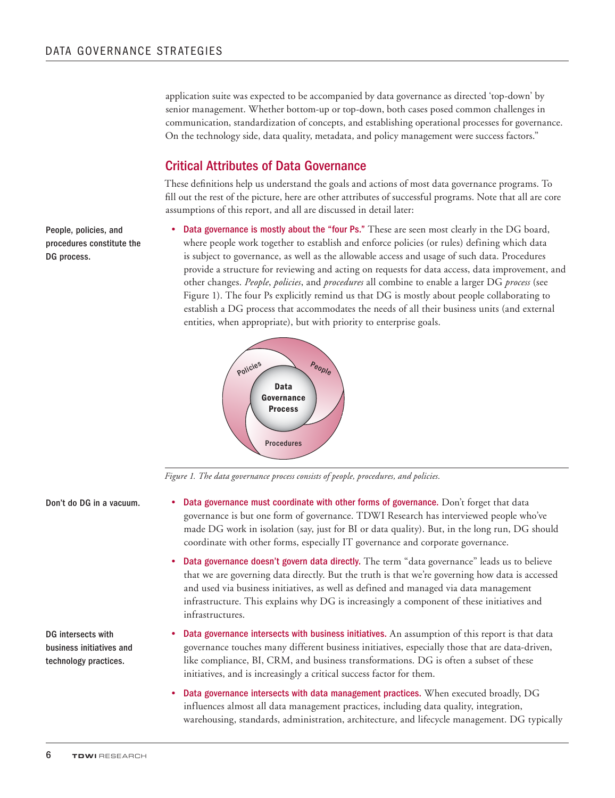application suite was expected to be accompanied by data governance as directed 'top-down' by senior management. Whether bottom-up or top-down, both cases posed common challenges in communication, standardization of concepts, and establishing operational processes for governance. On the technology side, data quality, metadata, and policy management were success factors."

### Critical Attributes of Data Governance

These definitions help us understand the goals and actions of most data governance programs. To fill out the rest of the picture, here are other attributes of successful programs. Note that all are core assumptions of this report, and all are discussed in detail later:

Data governance is mostly about the "four Ps." These are seen most clearly in the DG board, where people work together to establish and enforce policies (or rules) defining which data is subject to governance, as well as the allowable access and usage of such data. Procedures provide a structure for reviewing and acting on requests for data access, data improvement, and other changes. *People*, *policies*, and *procedures* all combine to enable a larger DG *process* (see Figure 1). The four Ps explicitly remind us that DG is mostly about people collaborating to establish a DG process that accommodates the needs of all their business units (and external

entities, when appropriate), but with priority to enterprise goals.



*Figure 1. The data governance process consists of people, procedures, and policies.*

Don't do DG in a vacuum.

DG intersects with business initiatives and technology practices.

- Data governance must coordinate with other forms of governance. Don't forget that data governance is but one form of governance. TDWI Research has interviewed people who've made DG work in isolation (say, just for BI or data quality). But, in the long run, DG should coordinate with other forms, especially IT governance and corporate governance.
	- Data governance doesn't govern data directly. The term "data governance" leads us to believe that we are governing data directly. But the truth is that we're governing how data is accessed and used via business initiatives, as well as defined and managed via data management infrastructure. This explains why DG is increasingly a component of these initiatives and infrastructures.
- Data governance intersects with business initiatives. An assumption of this report is that data governance touches many different business initiatives, especially those that are data-driven, like compliance, BI, CRM, and business transformations. DG is often a subset of these initiatives, and is increasingly a critical success factor for them.
- Data governance intersects with data management practices. When executed broadly, DG influences almost all data management practices, including data quality, integration, warehousing, standards, administration, architecture, and lifecycle management. DG typically

People, policies, and procedures constitute the DG process.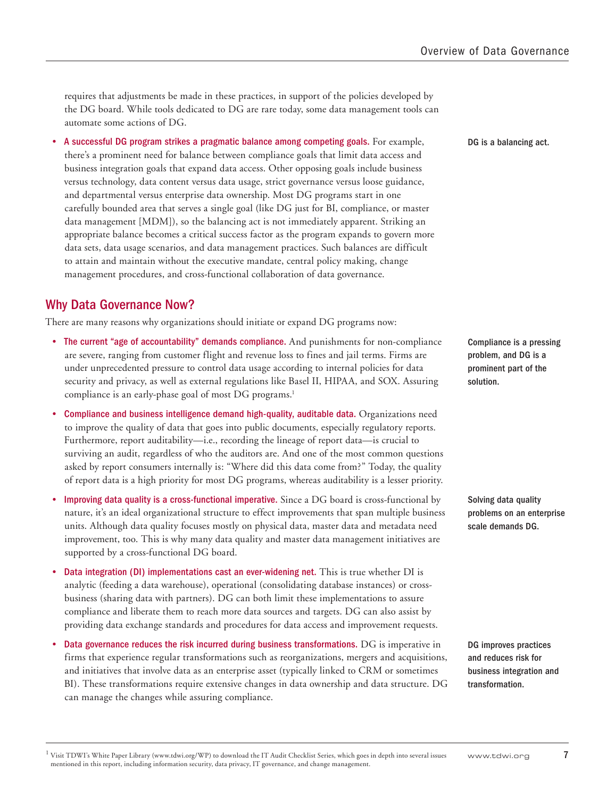requires that adjustments be made in these practices, in support of the policies developed by the DG board. While tools dedicated to DG are rare today, some data management tools can automate some actions of DG.

A successful DG program strikes a pragmatic balance among competing goals. For example, there's a prominent need for balance between compliance goals that limit data access and business integration goals that expand data access. Other opposing goals include business versus technology, data content versus data usage, strict governance versus loose guidance, and departmental versus enterprise data ownership. Most DG programs start in one carefully bounded area that serves a single goal (like DG just for BI, compliance, or master data management [MDM]), so the balancing act is not immediately apparent. Striking an appropriate balance becomes a critical success factor as the program expands to govern more data sets, data usage scenarios, and data management practices. Such balances are difficult to attain and maintain without the executive mandate, central policy making, change management procedures, and cross-functional collaboration of data governance.

### Why Data Governance Now?

There are many reasons why organizations should initiate or expand DG programs now:

- The current "age of accountability" demands compliance. And punishments for non-compliance are severe, ranging from customer flight and revenue loss to fines and jail terms. Firms are under unprecedented pressure to control data usage according to internal policies for data security and privacy, as well as external regulations like Basel II, HIPAA, and SOX. Assuring compliance is an early-phase goal of most DG programs.<sup>1</sup>
- Compliance and business intelligence demand high-quality, auditable data. Organizations need to improve the quality of data that goes into public documents, especially regulatory reports. Furthermore, report auditability—i.e., recording the lineage of report data—is crucial to surviving an audit, regardless of who the auditors are. And one of the most common questions asked by report consumers internally is: "Where did this data come from?" Today, the quality of report data is a high priority for most DG programs, whereas auditability is a lesser priority.
- Improving data quality is a cross-functional imperative. Since a DG board is cross-functional by nature, it's an ideal organizational structure to effect improvements that span multiple business units. Although data quality focuses mostly on physical data, master data and metadata need improvement, too. This is why many data quality and master data management initiatives are supported by a cross-functional DG board.
- **Data integration (DI) implementations cast an ever-widening net.** This is true whether DI is analytic (feeding a data warehouse), operational (consolidating database instances) or crossbusiness (sharing data with partners). DG can both limit these implementations to assure compliance and liberate them to reach more data sources and targets. DG can also assist by providing data exchange standards and procedures for data access and improvement requests.
- • Data governance reduces the risk incurred during business transformations. DG is imperative in firms that experience regular transformations such as reorganizations, mergers and acquisitions, and initiatives that involve data as an enterprise asset (typically linked to CRM or sometimes BI). These transformations require extensive changes in data ownership and data structure. DG can manage the changes while assuring compliance.

DG is a balancing act.

Compliance is a pressing problem, and DG is a prominent part of the solution.

Solving data quality problems on an enterprise scale demands DG.

DG improves practices and reduces risk for business integration and transformation.

 $1$  Visit TDWI's White Paper Library (www.tdwi.org/WP) to download the IT Audit Checklist Series, which goes in depth into several issues mentioned in this report, including information security, data privacy, IT governance, and change management.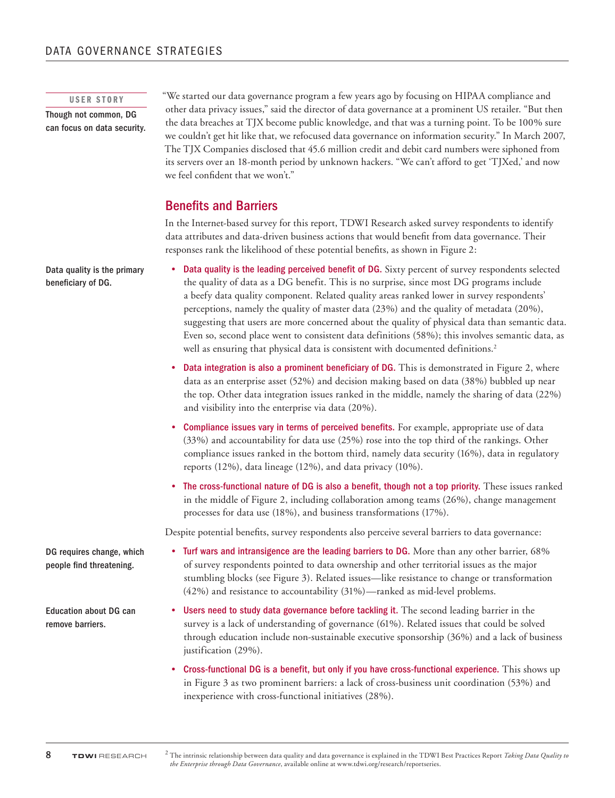#### USER STORY

Though not common, DG can focus on data security.

Data quality is the primary beneficiary of DG.

"We started our data governance program a few years ago by focusing on HIPAA compliance and other data privacy issues," said the director of data governance at a prominent US retailer. "But then the data breaches at TJX become public knowledge, and that was a turning point. To be 100% sure we couldn't get hit like that, we refocused data governance on information security." In March 2007, The TJX Companies disclosed that 45.6 million credit and debit card numbers were siphoned from its servers over an 18-month period by unknown hackers. "We can't afford to get 'TJXed,' and now we feel confident that we won't."

### Benefits and Barriers

In the Internet-based survey for this report, TDWI Research asked survey respondents to identify data attributes and data-driven business actions that would benefit from data governance. Their responses rank the likelihood of these potential benefits, as shown in Figure 2:

- Data quality is the leading perceived benefit of DG. Sixty percent of survey respondents selected the quality of data as a DG benefit. This is no surprise, since most DG programs include a beefy data quality component. Related quality areas ranked lower in survey respondents' perceptions, namely the quality of master data (23%) and the quality of metadata (20%), suggesting that users are more concerned about the quality of physical data than semantic data. Even so, second place went to consistent data definitions (58%); this involves semantic data, as well as ensuring that physical data is consistent with documented definitions.<sup>2</sup>
- Data integration is also a prominent beneficiary of DG. This is demonstrated in Figure 2, where data as an enterprise asset (52%) and decision making based on data (38%) bubbled up near the top. Other data integration issues ranked in the middle, namely the sharing of data (22%) and visibility into the enterprise via data (20%).
- • Compliance issues vary in terms of perceived benefits. For example, appropriate use of data (33%) and accountability for data use (25%) rose into the top third of the rankings. Other compliance issues ranked in the bottom third, namely data security (16%), data in regulatory reports (12%), data lineage (12%), and data privacy (10%).
- • The cross-functional nature of DG is also a benefit, though not a top priority. These issues ranked in the middle of Figure 2, including collaboration among teams (26%), change management processes for data use (18%), and business transformations (17%).

Despite potential benefits, survey respondents also perceive several barriers to data governance:

- • Turf wars and intransigence are the leading barriers to DG. More than any other barrier, 68% of survey respondents pointed to data ownership and other territorial issues as the major stumbling blocks (see Figure 3). Related issues—like resistance to change or transformation (42%) and resistance to accountability (31%)—ranked as mid-level problems.
- Users need to study data governance before tackling it. The second leading barrier in the survey is a lack of understanding of governance (61%). Related issues that could be solved through education include non-sustainable executive sponsorship (36%) and a lack of business justification (29%).
- Cross-functional DG is a benefit, but only if you have cross-functional experience. This shows up in Figure 3 as two prominent barriers: a lack of cross-business unit coordination (53%) and inexperience with cross-functional initiatives (28%).

DG requires change, which people find threatening.

Education about DG can remove barriers.

<sup>2</sup> The intrinsic relationship between data quality and data governance is explained in the TDWI Best Practices Report *Taking Data Quality to the Enterprise through Data Governance*, available online at www.tdwi.org/research/reportseries.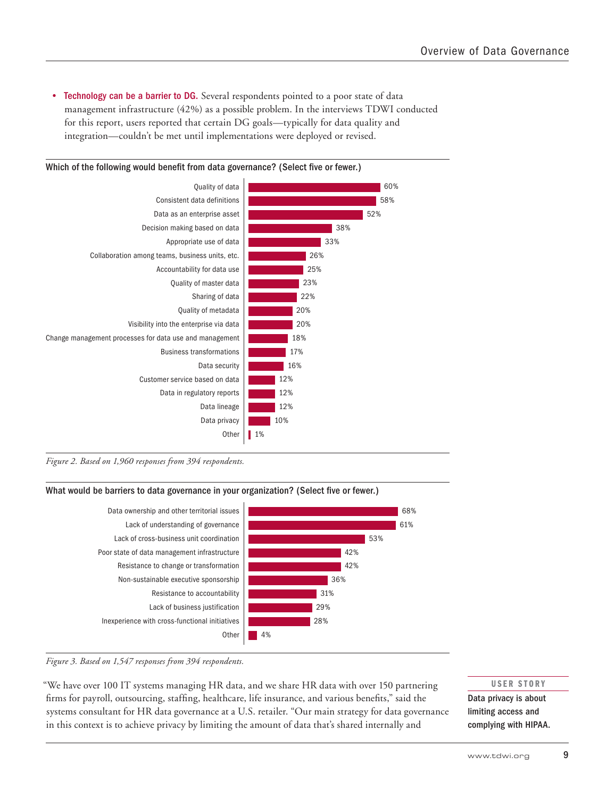• Technology can be a barrier to DG. Several respondents pointed to a poor state of data management infrastructure (42%) as a possible problem. In the interviews TDWI conducted for this report, users reported that certain DG goals—typically for data quality and integration—couldn't be met until implementations were deployed or revised.



*Figure 2. Based on 1,960 responses from 394 respondents.* 

#### What would be barriers to data governance in your organization? (Select five or fewer.)



#### *Figure 3. Based on 1,547 responses from 394 respondents.*

"We have over 100 IT systems managing HR data, and we share HR data with over 150 partnering firms for payroll, outsourcing, staffing, healthcare, life insurance, and various benefits," said the systems consultant for HR data governance at a U.S. retailer. "Our main strategy for data governance in this context is to achieve privacy by limiting the amount of data that's shared internally and

USER STORY

Data privacy is about limiting access and complying with HIPAA.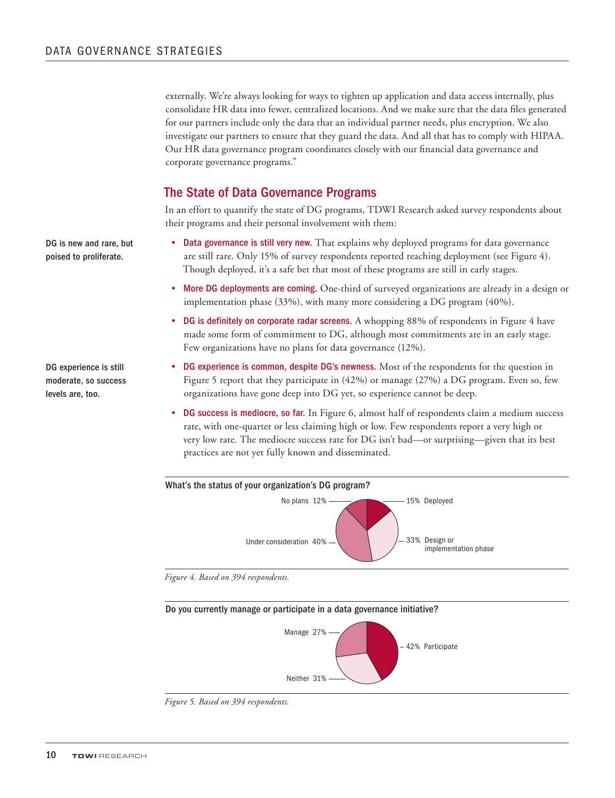externally. We're always looking for ways to tighten up application and data access internally, plus consolidate HR data into fewer, centralized locations. And we make sure that the data files generated for our partners include only the data that an individual partner needs, plus encryption. We also investigate our partners to ensure that they guard the data. And all that has to comply with HIPAA. Our HR data governance program coordinates closely with our financial data governance and corporate governance programs."

### The State of Data Governance Programs

In an effort to quantify the state of DG programs, TDWI Research asked survey respondents about their programs and their personal involvement with them:

- Data governance is still very new. That explains why deployed programs for data governance are still rare. Only 15% of survey respondents reported reaching deployment (see Figure 4). Though deployed, it's a safe bet that most of these programs are still in early stages.
- • More DG deployments are coming. One-third of surveyed organizations are already in a design or implementation phase (33%), with many more considering a DG program (40%).
- DG is definitely on corporate radar screens. A whopping 88% of respondents in Figure 4 have made some form of commitment to DG, although most commitments are in an early stage. Few organizations have no plans for data governance (12%).
- DG experience is common, despite DG's newness. Most of the respondents for the question in Figure 5 report that they participate in (42%) or manage (27%) a DG program. Even so, few organizations have gone deep into DG yet, so experience cannot be deep.
- **DG success is mediocre, so far.** In Figure 6, almost half of respondents claim a medium success rate, with one-quarter or less claiming high or low. Few respondents report a very high or very low rate. The mediocre success rate for DG isn't bad—or surprising—given that its best practices are not yet fully known and disseminated.



*Figure 4. Based on 394 respondents.*





DG is new and rare, but poised to proliferate.

DG experience is still moderate, so success levels are, too.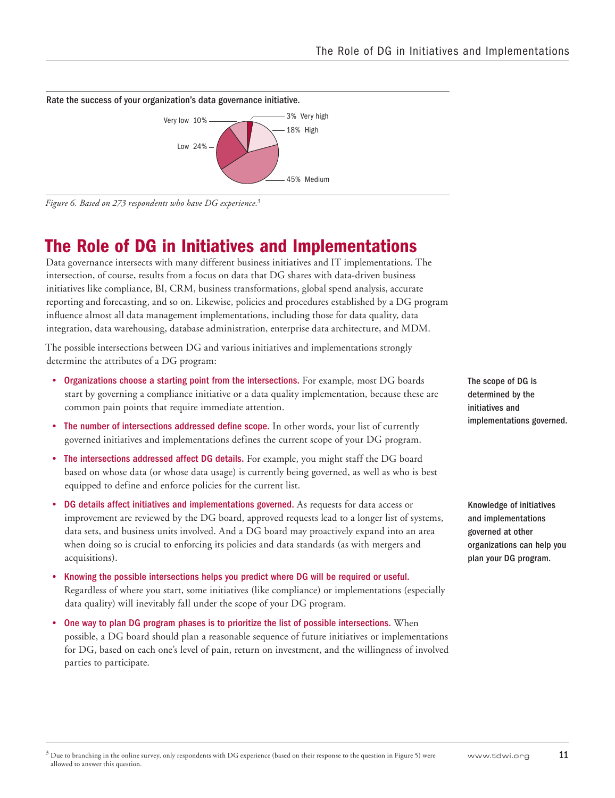

*Figure 6. Based on 273 respondents who have DG experience.*<sup>3</sup>

# The Role of DG in Initiatives and Implementations

Data governance intersects with many different business initiatives and IT implementations. The intersection, of course, results from a focus on data that DG shares with data-driven business initiatives like compliance, BI, CRM, business transformations, global spend analysis, accurate reporting and forecasting, and so on. Likewise, policies and procedures established by a DG program influence almost all data management implementations, including those for data quality, data integration, data warehousing, database administration, enterprise data architecture, and MDM.

The possible intersections between DG and various initiatives and implementations strongly determine the attributes of a DG program:

- • Organizations choose a starting point from the intersections. For example, most DG boards start by governing a compliance initiative or a data quality implementation, because these are common pain points that require immediate attention.
- The number of intersections addressed define scope. In other words, your list of currently governed initiatives and implementations defines the current scope of your DG program.
- • The intersections addressed affect DG details. For example, you might staff the DG board based on whose data (or whose data usage) is currently being governed, as well as who is best equipped to define and enforce policies for the current list.
- • DG details affect initiatives and implementations governed. As requests for data access or improvement are reviewed by the DG board, approved requests lead to a longer list of systems, data sets, and business units involved. And a DG board may proactively expand into an area when doing so is crucial to enforcing its policies and data standards (as with mergers and acquisitions).
- • Knowing the possible intersections helps you predict where DG will be required or useful. Regardless of where you start, some initiatives (like compliance) or implementations (especially data quality) will inevitably fall under the scope of your DG program.
- One way to plan DG program phases is to prioritize the list of possible intersections. When possible, a DG board should plan a reasonable sequence of future initiatives or implementations for DG, based on each one's level of pain, return on investment, and the willingness of involved parties to participate.

The scope of DG is determined by the initiatives and implementations governed.

Knowledge of initiatives and implementations governed at other organizations can help you plan your DG program.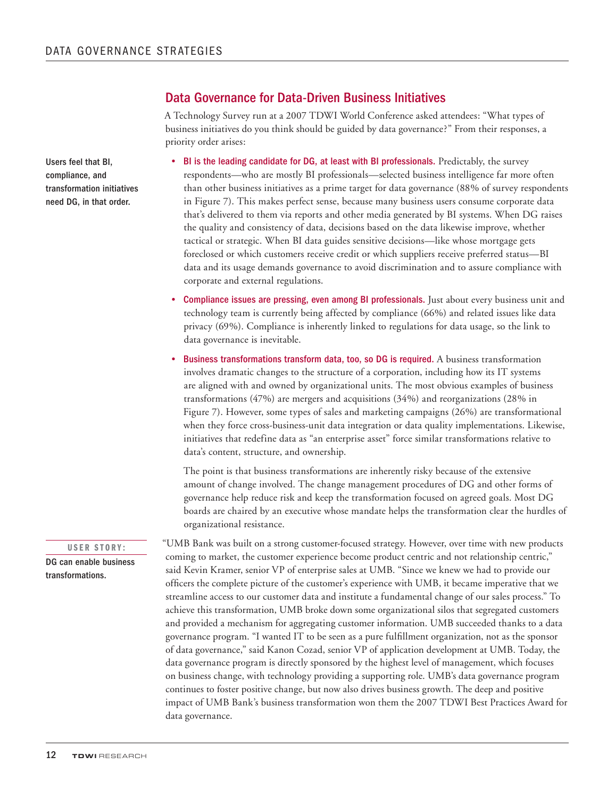### Data Governance for Data-Driven Business Initiatives

A Technology Survey run at a 2007 TDWI World Conference asked attendees: "What types of business initiatives do you think should be guided by data governance?" From their responses, a priority order arises:

- BI is the leading candidate for DG, at least with BI professionals. Predictably, the survey respondents—who are mostly BI professionals—selected business intelligence far more often than other business initiatives as a prime target for data governance (88% of survey respondents in Figure 7). This makes perfect sense, because many business users consume corporate data that's delivered to them via reports and other media generated by BI systems. When DG raises the quality and consistency of data, decisions based on the data likewise improve, whether tactical or strategic. When BI data guides sensitive decisions—like whose mortgage gets foreclosed or which customers receive credit or which suppliers receive preferred status—BI data and its usage demands governance to avoid discrimination and to assure compliance with corporate and external regulations.
- **Compliance issues are pressing, even among BI professionals.** Just about every business unit and technology team is currently being affected by compliance (66%) and related issues like data privacy (69%). Compliance is inherently linked to regulations for data usage, so the link to data governance is inevitable.
- Business transformations transform data, too, so DG is required. A business transformation involves dramatic changes to the structure of a corporation, including how its IT systems are aligned with and owned by organizational units. The most obvious examples of business transformations (47%) are mergers and acquisitions (34%) and reorganizations (28% in Figure 7). However, some types of sales and marketing campaigns (26%) are transformational when they force cross-business-unit data integration or data quality implementations. Likewise, initiatives that redefine data as "an enterprise asset" force similar transformations relative to data's content, structure, and ownership.

The point is that business transformations are inherently risky because of the extensive amount of change involved. The change management procedures of DG and other forms of governance help reduce risk and keep the transformation focused on agreed goals. Most DG boards are chaired by an executive whose mandate helps the transformation clear the hurdles of organizational resistance.

"UMB Bank was built on a strong customer-focused strategy. However, over time with new products coming to market, the customer experience become product centric and not relationship centric," said Kevin Kramer, senior VP of enterprise sales at UMB. "Since we knew we had to provide our officers the complete picture of the customer's experience with UMB, it became imperative that we streamline access to our customer data and institute a fundamental change of our sales process." To achieve this transformation, UMB broke down some organizational silos that segregated customers and provided a mechanism for aggregating customer information. UMB succeeded thanks to a data governance program. "I wanted IT to be seen as a pure fulfillment organization, not as the sponsor of data governance," said Kanon Cozad, senior VP of application development at UMB. Today, the data governance program is directly sponsored by the highest level of management, which focuses on business change, with technology providing a supporting role. UMB's data governance program continues to foster positive change, but now also drives business growth. The deep and positive impact of UMB Bank's business transformation won them the 2007 TDWI Best Practices Award for data governance.

Users feel that BI, compliance, and transformation initiatives need DG, in that order.

#### USER STORY:

DG can enable business transformations.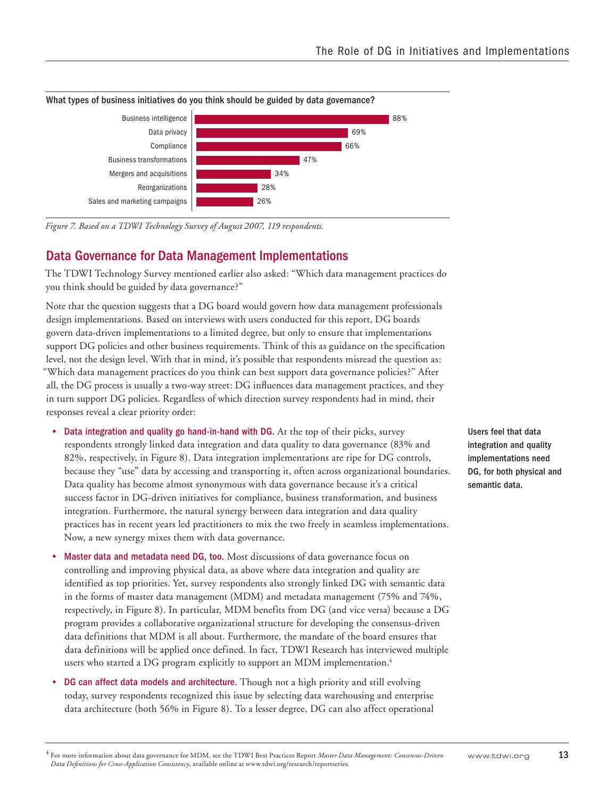

What types of business initiatives do you think should be guided by data governance?

*Figure 7. Based on a TDWI Technology Survey of August 2007, 119 respondents.* 

### Data Governance for Data Management Implementations

The TDWI Technology Survey mentioned earlier also asked: "Which data management practices do you think should be guided by data governance?"

Note that the question suggests that a DG board would govern how data management professionals design implementations. Based on interviews with users conducted for this report, DG boards govern data-driven implementations to a limited degree, but only to ensure that implementations support DG policies and other business requirements. Think of this as guidance on the specification level, not the design level. With that in mind, it's possible that respondents misread the question as: "Which data management practices do you think can best support data governance policies?" After all, the DG process is usually a two-way street: DG influences data management practices, and they in turn support DG policies. Regardless of which direction survey respondents had in mind, their responses reveal a clear priority order:

- Data integration and quality go hand-in-hand with DG. At the top of their picks, survey respondents strongly linked data integration and data quality to data governance (83% and 82%, respectively, in Figure 8). Data integration implementations are ripe for DG controls, because they "use" data by accessing and transporting it, often across organizational boundaries. Data quality has become almost synonymous with data governance because it's a critical success factor in DG-driven initiatives for compliance, business transformation, and business integration. Furthermore, the natural synergy between data integration and data quality practices has in recent years led practitioners to mix the two freely in seamless implementations. Now, a new synergy mixes them with data governance.
- Master data and metadata need DG, too. Most discussions of data governance focus on controlling and improving physical data, as above where data integration and quality are identified as top priorities. Yet, survey respondents also strongly linked DG with semantic data in the forms of master data management (MDM) and metadata management (75% and 74%, respectively, in Figure 8). In particular, MDM benefits from DG (and vice versa) because a DG program provides a collaborative organizational structure for developing the consensus-driven data definitions that MDM is all about. Furthermore, the mandate of the board ensures that data definitions will be applied once defined. In fact, TDWI Research has interviewed multiple users who started a DG program explicitly to support an MDM implementation.<sup>4</sup>
- DG can affect data models and architecture. Though not a high priority and still evolving today, survey respondents recognized this issue by selecting data warehousing and enterprise data architecture (both 56% in Figure 8). To a lesser degree, DG can also affect operational

Users feel that data integration and quality implementations need DG, for both physical and semantic data.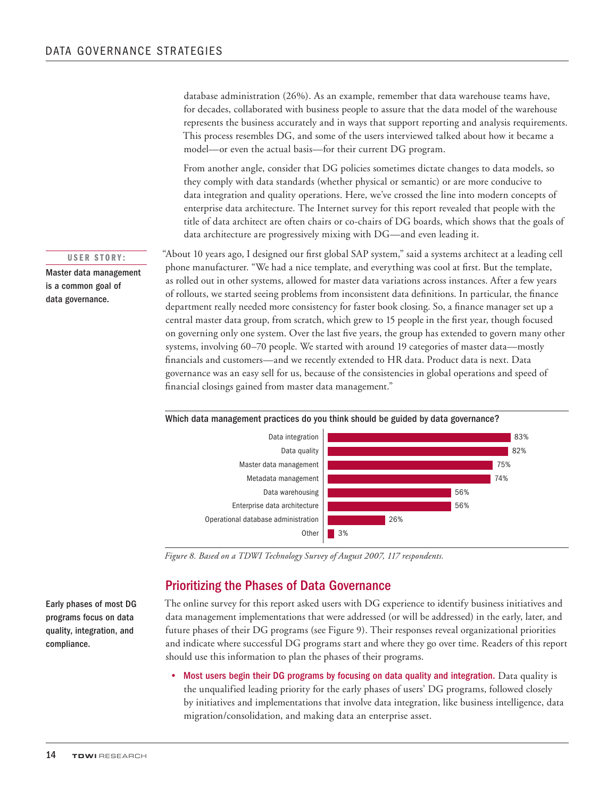database administration (26%). As an example, remember that data warehouse teams have, for decades, collaborated with business people to assure that the data model of the warehouse represents the business accurately and in ways that support reporting and analysis requirements. This process resembles DG, and some of the users interviewed talked about how it became a model—or even the actual basis—for their current DG program.

From another angle, consider that DG policies sometimes dictate changes to data models, so they comply with data standards (whether physical or semantic) or are more conducive to data integration and quality operations. Here, we've crossed the line into modern concepts of enterprise data architecture. The Internet survey for this report revealed that people with the title of data architect are often chairs or co-chairs of DG boards, which shows that the goals of data architecture are progressively mixing with DG—and even leading it.

"About 10 years ago, I designed our first global SAP system," said a systems architect at a leading cell phone manufacturer. "We had a nice template, and everything was cool at first. But the template, as rolled out in other systems, allowed for master data variations across instances. After a few years of rollouts, we started seeing problems from inconsistent data definitions. In particular, the finance department really needed more consistency for faster book closing. So, a finance manager set up a central master data group, from scratch, which grew to 15 people in the first year, though focused on governing only one system. Over the last five years, the group has extended to govern many other systems, involving 60–70 people. We started with around 19 categories of master data—mostly financials and customers—and we recently extended to HR data. Product data is next. Data governance was an easy sell for us, because of the consistencies in global operations and speed of financial closings gained from master data management."





*Figure 8. Based on a TDWI Technology Survey of August 2007, 117 respondents.* 

### Prioritizing the Phases of Data Governance

The online survey for this report asked users with DG experience to identify business initiatives and data management implementations that were addressed (or will be addressed) in the early, later, and future phases of their DG programs (see Figure 9). Their responses reveal organizational priorities and indicate where successful DG programs start and where they go over time. Readers of this report should use this information to plan the phases of their programs.

Most users begin their DG programs by focusing on data quality and integration. Data quality is the unqualified leading priority for the early phases of users' DG programs, followed closely by initiatives and implementations that involve data integration, like business intelligence, data migration/consolidation, and making data an enterprise asset.

USER STORY:

Master data management is a common goal of data governance.

Early phases of most DG programs focus on data quality, integration, and compliance.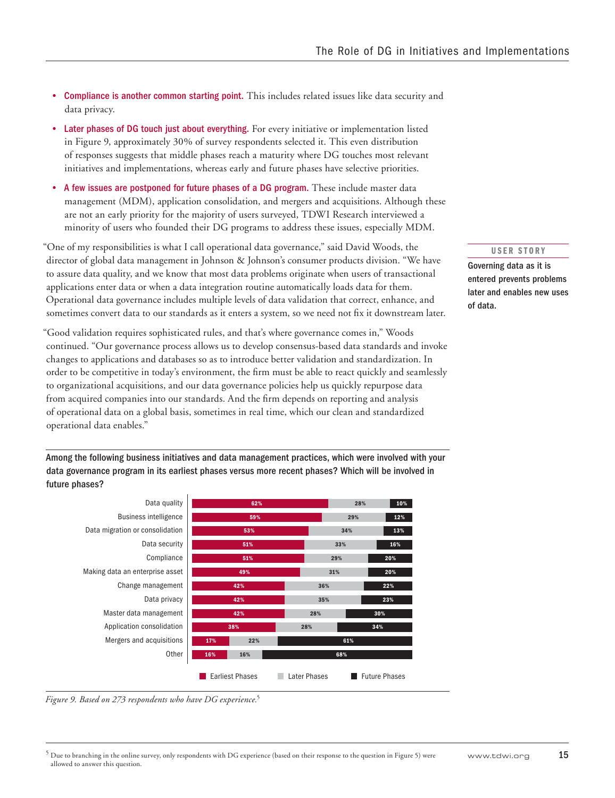- Compliance is another common starting point. This includes related issues like data security and data privacy.
- • Later phases of DG touch just about everything. For every initiative or implementation listed in Figure 9, approximately 30% of survey respondents selected it. This even distribution of responses suggests that middle phases reach a maturity where DG touches most relevant initiatives and implementations, whereas early and future phases have selective priorities.
- A few issues are postponed for future phases of a DG program. These include master data management (MDM), application consolidation, and mergers and acquisitions. Although these are not an early priority for the majority of users surveyed, TDWI Research interviewed a minority of users who founded their DG programs to address these issues, especially MDM.

"One of my responsibilities is what I call operational data governance," said David Woods, the director of global data management in Johnson & Johnson's consumer products division. "We have to assure data quality, and we know that most data problems originate when users of transactional applications enter data or when a data integration routine automatically loads data for them. Operational data governance includes multiple levels of data validation that correct, enhance, and sometimes convert data to our standards as it enters a system, so we need not fix it downstream later.

"Good validation requires sophisticated rules, and that's where governance comes in," Woods continued. "Our governance process allows us to develop consensus-based data standards and invoke changes to applications and databases so as to introduce better validation and standardization. In order to be competitive in today's environment, the firm must be able to react quickly and seamlessly to organizational acquisitions, and our data governance policies help us quickly repurpose data from acquired companies into our standards. And the firm depends on reporting and analysis of operational data on a global basis, sometimes in real time, which our clean and standardized operational data enables."

Among the following business initiatives and data management practices, which were involved with your data governance program in its earliest phases versus more recent phases? Which will be involved in future phases?



#### *Figure 9. Based on 273 respondents who have DG experience.*<sup>5</sup>

#### USER STORY

Governing data as it is entered prevents problems later and enables new uses of data.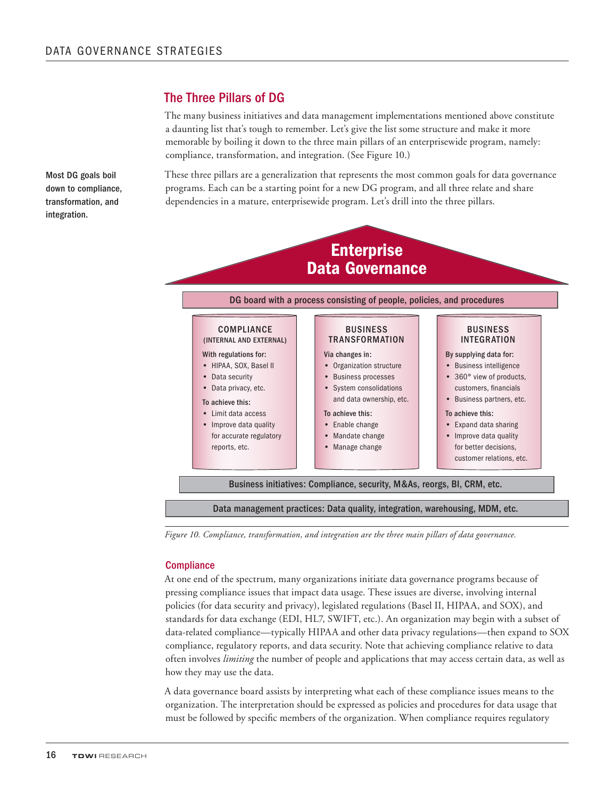### The Three Pillars of DG

The many business initiatives and data management implementations mentioned above constitute a daunting list that's tough to remember. Let's give the list some structure and make it more memorable by boiling it down to the three main pillars of an enterprisewide program, namely: compliance, transformation, and integration. (See Figure 10.)

These three pillars are a generalization that represents the most common goals for data governance programs. Each can be a starting point for a new DG program, and all three relate and share dependencies in a mature, enterprisewide program. Let's drill into the three pillars.

**Enterprise** Data Governance DG board with a process consisting of people, policies, and procedures Business initiatives: Compliance, security, M&As, reorgs, BI, CRM, etc. Data management practices: Data quality, integration, warehousing, MDM, etc. **COMPLIANCE** (internal and external) With regulations for: • HIPAA, SOX, Basel II • Data security • Data privacy, etc. To achieve this: • Limit data access • Improve data quality for accurate regulatory reports, etc. Business **TRANSFORMATION** Via changes in: • Organization structure • Business processes • System consolidations and data ownership, etc. To achieve this: • Enable change • Mandate change • Manage change **BUSINESS INTEGRATION** By supplying data for: • Business intelligence • 360° view of products, customers, financials • Business partners, etc. To achieve this: • Expand data sharing • Improve data quality for better decisions, customer relations, etc.

*Figure 10. Compliance, transformation, and integration are the three main pillars of data governance.*

#### **Compliance**

At one end of the spectrum, many organizations initiate data governance programs because of pressing compliance issues that impact data usage. These issues are diverse, involving internal policies (for data security and privacy), legislated regulations (Basel II, HIPAA, and SOX), and standards for data exchange (EDI, HL7, SWIFT, etc.). An organization may begin with a subset of data-related compliance—typically HIPAA and other data privacy regulations—then expand to SOX compliance, regulatory reports, and data security. Note that achieving compliance relative to data often involves *limiting* the number of people and applications that may access certain data, as well as how they may use the data.

A data governance board assists by interpreting what each of these compliance issues means to the organization. The interpretation should be expressed as policies and procedures for data usage that must be followed by specific members of the organization. When compliance requires regulatory

Most DG goals boil down to compliance, transformation, and integration.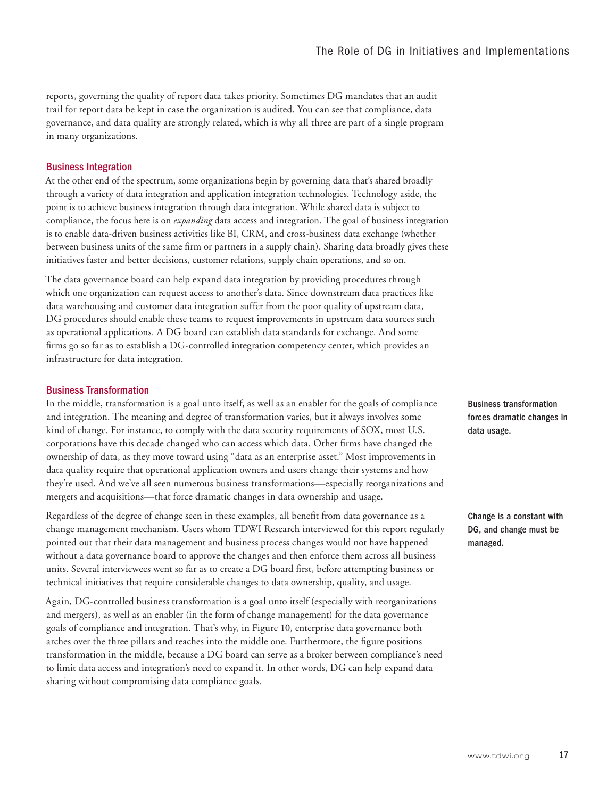reports, governing the quality of report data takes priority. Sometimes DG mandates that an audit trail for report data be kept in case the organization is audited. You can see that compliance, data governance, and data quality are strongly related, which is why all three are part of a single program in many organizations.

### Business Integration

At the other end of the spectrum, some organizations begin by governing data that's shared broadly through a variety of data integration and application integration technologies. Technology aside, the point is to achieve business integration through data integration. While shared data is subject to compliance, the focus here is on *expanding* data access and integration. The goal of business integration is to enable data-driven business activities like BI, CRM, and cross-business data exchange (whether between business units of the same firm or partners in a supply chain). Sharing data broadly gives these initiatives faster and better decisions, customer relations, supply chain operations, and so on.

The data governance board can help expand data integration by providing procedures through which one organization can request access to another's data. Since downstream data practices like data warehousing and customer data integration suffer from the poor quality of upstream data, DG procedures should enable these teams to request improvements in upstream data sources such as operational applications. A DG board can establish data standards for exchange. And some firms go so far as to establish a DG-controlled integration competency center, which provides an infrastructure for data integration.

#### Business Transformation

In the middle, transformation is a goal unto itself, as well as an enabler for the goals of compliance and integration. The meaning and degree of transformation varies, but it always involves some kind of change. For instance, to comply with the data security requirements of SOX, most U.S. corporations have this decade changed who can access which data. Other firms have changed the ownership of data, as they move toward using "data as an enterprise asset." Most improvements in data quality require that operational application owners and users change their systems and how they're used. And we've all seen numerous business transformations—especially reorganizations and mergers and acquisitions—that force dramatic changes in data ownership and usage.

Regardless of the degree of change seen in these examples, all benefit from data governance as a change management mechanism. Users whom TDWI Research interviewed for this report regularly pointed out that their data management and business process changes would not have happened without a data governance board to approve the changes and then enforce them across all business units. Several interviewees went so far as to create a DG board first, before attempting business or technical initiatives that require considerable changes to data ownership, quality, and usage.

Again, DG-controlled business transformation is a goal unto itself (especially with reorganizations and mergers), as well as an enabler (in the form of change management) for the data governance goals of compliance and integration. That's why, in Figure 10, enterprise data governance both arches over the three pillars and reaches into the middle one. Furthermore, the figure positions transformation in the middle, because a DG board can serve as a broker between compliance's need to limit data access and integration's need to expand it. In other words, DG can help expand data sharing without compromising data compliance goals.

Business transformation forces dramatic changes in data usage.

Change is a constant with DG, and change must be managed.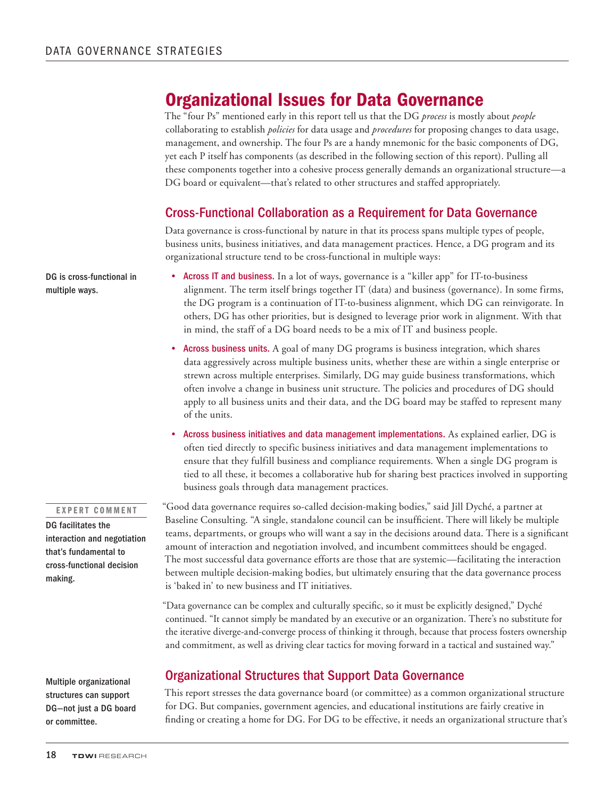## Organizational Issues for Data Governance

The "four Ps" mentioned early in this report tell us that the DG *process* is mostly about *people* collaborating to establish *policies* for data usage and *procedures* for proposing changes to data usage, management, and ownership. The four Ps are a handy mnemonic for the basic components of DG, yet each P itself has components (as described in the following section of this report). Pulling all these components together into a cohesive process generally demands an organizational structure—a DG board or equivalent—that's related to other structures and staffed appropriately.

### Cross-Functional Collaboration as a Requirement for Data Governance

Data governance is cross-functional by nature in that its process spans multiple types of people, business units, business initiatives, and data management practices. Hence, a DG program and its organizational structure tend to be cross-functional in multiple ways:

- Across IT and business. In a lot of ways, governance is a "killer app" for IT-to-business alignment. The term itself brings together IT (data) and business (governance). In some firms, the DG program is a continuation of IT-to-business alignment, which DG can reinvigorate. In others, DG has other priorities, but is designed to leverage prior work in alignment. With that in mind, the staff of a DG board needs to be a mix of IT and business people.
	- Across business units. A goal of many DG programs is business integration, which shares data aggressively across multiple business units, whether these are within a single enterprise or strewn across multiple enterprises. Similarly, DG may guide business transformations, which often involve a change in business unit structure. The policies and procedures of DG should apply to all business units and their data, and the DG board may be staffed to represent many of the units.
	- • Across business initiatives and data management implementations. As explained earlier, DG is often tied directly to specific business initiatives and data management implementations to ensure that they fulfill business and compliance requirements. When a single DG program is tied to all these, it becomes a collaborative hub for sharing best practices involved in supporting business goals through data management practices.

#### EXPERT COMMENT

DG facilitates the interaction and negotiation that's fundamental to cross-functional decision making.

Multiple organizational structures can support DG—not just a DG board or committee.

"Good data governance requires so-called decision-making bodies," said Jill Dyché, a partner at Baseline Consulting. "A single, standalone council can be insufficient. There will likely be multiple teams, departments, or groups who will want a say in the decisions around data. There is a significant amount of interaction and negotiation involved, and incumbent committees should be engaged. The most successful data governance efforts are those that are systemic—facilitating the interaction between multiple decision-making bodies, but ultimately ensuring that the data governance process is 'baked in' to new business and IT initiatives.

"Data governance can be complex and culturally specific, so it must be explicitly designed," Dyché continued. "It cannot simply be mandated by an executive or an organization. There's no substitute for the iterative diverge-and-converge process of thinking it through, because that process fosters ownership and commitment, as well as driving clear tactics for moving forward in a tactical and sustained way."

### Organizational Structures that Support Data Governance

This report stresses the data governance board (or committee) as a common organizational structure for DG. But companies, government agencies, and educational institutions are fairly creative in finding or creating a home for DG. For DG to be effective, it needs an organizational structure that's

DG is cross-functional in multiple ways.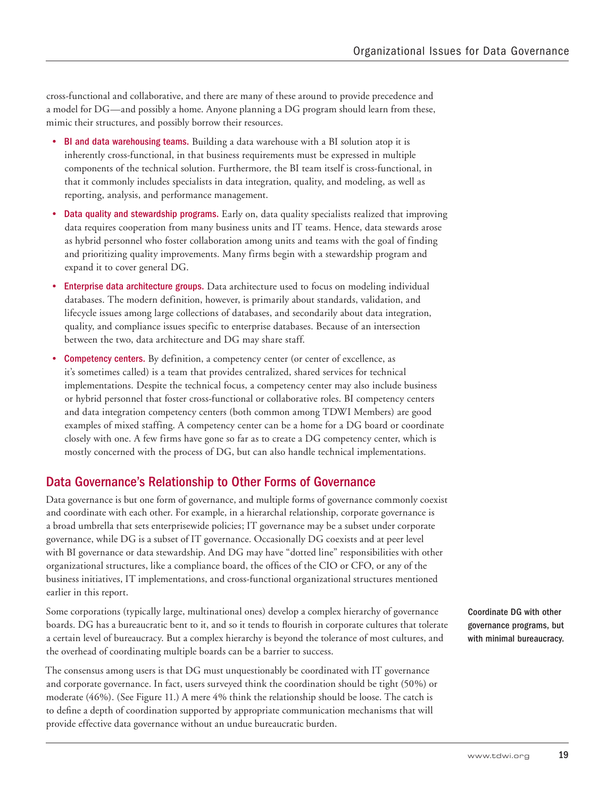cross-functional and collaborative, and there are many of these around to provide precedence and a model for DG—and possibly a home. Anyone planning a DG program should learn from these, mimic their structures, and possibly borrow their resources.

- BI and data warehousing teams. Building a data warehouse with a BI solution atop it is inherently cross-functional, in that business requirements must be expressed in multiple components of the technical solution. Furthermore, the BI team itself is cross-functional, in that it commonly includes specialists in data integration, quality, and modeling, as well as reporting, analysis, and performance management.
- • Data quality and stewardship programs. Early on, data quality specialists realized that improving data requires cooperation from many business units and IT teams. Hence, data stewards arose as hybrid personnel who foster collaboration among units and teams with the goal of finding and prioritizing quality improvements. Many firms begin with a stewardship program and expand it to cover general DG.
- Enterprise data architecture groups. Data architecture used to focus on modeling individual databases. The modern definition, however, is primarily about standards, validation, and lifecycle issues among large collections of databases, and secondarily about data integration, quality, and compliance issues specific to enterprise databases. Because of an intersection between the two, data architecture and DG may share staff.
- **Competency centers.** By definition, a competency center (or center of excellence, as it's sometimes called) is a team that provides centralized, shared services for technical implementations. Despite the technical focus, a competency center may also include business or hybrid personnel that foster cross-functional or collaborative roles. BI competency centers and data integration competency centers (both common among TDWI Members) are good examples of mixed staffing. A competency center can be a home for a DG board or coordinate closely with one. A few firms have gone so far as to create a DG competency center, which is mostly concerned with the process of DG, but can also handle technical implementations.

### Data Governance's Relationship to Other Forms of Governance

Data governance is but one form of governance, and multiple forms of governance commonly coexist and coordinate with each other. For example, in a hierarchal relationship, corporate governance is a broad umbrella that sets enterprisewide policies; IT governance may be a subset under corporate governance, while DG is a subset of IT governance. Occasionally DG coexists and at peer level with BI governance or data stewardship. And DG may have "dotted line" responsibilities with other organizational structures, like a compliance board, the offices of the CIO or CFO, or any of the business initiatives, IT implementations, and cross-functional organizational structures mentioned earlier in this report.

Some corporations (typically large, multinational ones) develop a complex hierarchy of governance boards. DG has a bureaucratic bent to it, and so it tends to flourish in corporate cultures that tolerate a certain level of bureaucracy. But a complex hierarchy is beyond the tolerance of most cultures, and the overhead of coordinating multiple boards can be a barrier to success.

The consensus among users is that DG must unquestionably be coordinated with IT governance and corporate governance. In fact, users surveyed think the coordination should be tight (50%) or moderate (46%). (See Figure 11.) A mere 4% think the relationship should be loose. The catch is to define a depth of coordination supported by appropriate communication mechanisms that will provide effective data governance without an undue bureaucratic burden.

Coordinate DG with other governance programs, but with minimal bureaucracy.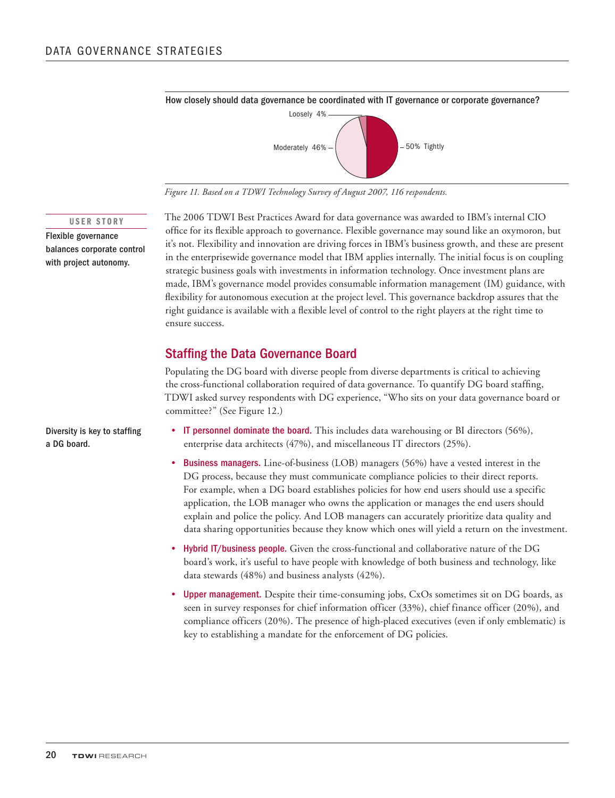

*Figure 11. Based on a TDWI Technology Survey of August 2007, 116 respondents.* 

#### USER STORY

Flexible governance balances corporate control with project autonomy.

The 2006 TDWI Best Practices Award for data governance was awarded to IBM's internal CIO office for its flexible approach to governance. Flexible governance may sound like an oxymoron, but it's not. Flexibility and innovation are driving forces in IBM's business growth, and these are present in the enterprisewide governance model that IBM applies internally. The initial focus is on coupling strategic business goals with investments in information technology. Once investment plans are made, IBM's governance model provides consumable information management (IM) guidance, with flexibility for autonomous execution at the project level. This governance backdrop assures that the right guidance is available with a flexible level of control to the right players at the right time to ensure success.

### Staffing the Data Governance Board

Populating the DG board with diverse people from diverse departments is critical to achieving the cross-functional collaboration required of data governance. To quantify DG board staffing, TDWI asked survey respondents with DG experience, "Who sits on your data governance board or committee?" (See Figure 12.)

- IT personnel dominate the board. This includes data warehousing or BI directors (56%), enterprise data architects (47%), and miscellaneous IT directors (25%).
- Business managers. Line-of-business (LOB) managers (56%) have a vested interest in the DG process, because they must communicate compliance policies to their direct reports. For example, when a DG board establishes policies for how end users should use a specific application, the LOB manager who owns the application or manages the end users should explain and police the policy. And LOB managers can accurately prioritize data quality and data sharing opportunities because they know which ones will yield a return on the investment.
- • Hybrid IT/business people. Given the cross-functional and collaborative nature of the DG board's work, it's useful to have people with knowledge of both business and technology, like data stewards (48%) and business analysts (42%).
- Upper management. Despite their time-consuming jobs, CxOs sometimes sit on DG boards, as seen in survey responses for chief information officer (33%), chief finance officer (20%), and compliance officers (20%). The presence of high-placed executives (even if only emblematic) is key to establishing a mandate for the enforcement of DG policies.

Diversity is key to staffing a DG board.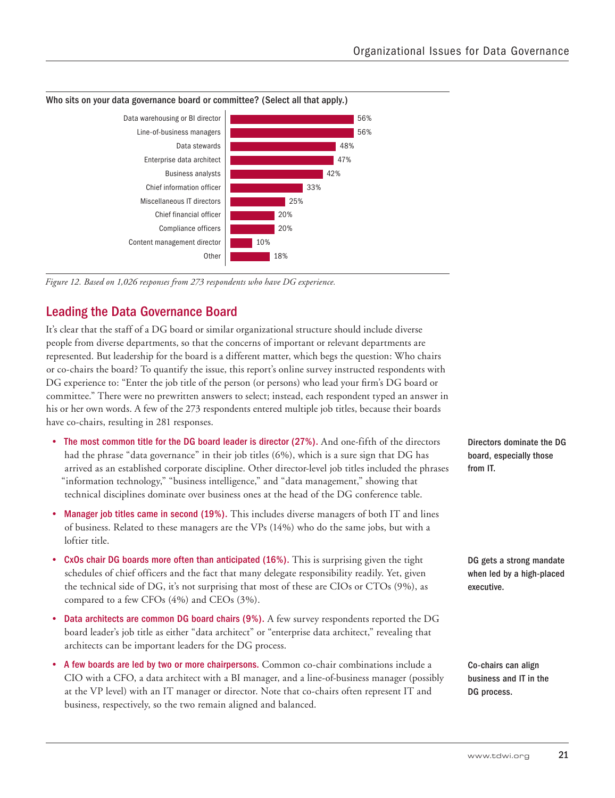

*Figure 12. Based on 1,026 responses from 273 respondents who have DG experience.* 

### Leading the Data Governance Board

It's clear that the staff of a DG board or similar organizational structure should include diverse people from diverse departments, so that the concerns of important or relevant departments are represented. But leadership for the board is a different matter, which begs the question: Who chairs or co-chairs the board? To quantify the issue, this report's online survey instructed respondents with DG experience to: "Enter the job title of the person (or persons) who lead your firm's DG board or committee." There were no prewritten answers to select; instead, each respondent typed an answer in his or her own words. A few of the 273 respondents entered multiple job titles, because their boards have co-chairs, resulting in 281 responses.

- The most common title for the DG board leader is director (27%). And one-fifth of the directors had the phrase "data governance" in their job titles (6%), which is a sure sign that DG has arrived as an established corporate discipline. Other director-level job titles included the phrases "information technology," "business intelligence," and "data management," showing that technical disciplines dominate over business ones at the head of the DG conference table.
- Manager job titles came in second (19%). This includes diverse managers of both IT and lines of business. Related to these managers are the VPs (14%) who do the same jobs, but with a loftier title.
- CxOs chair DG boards more often than anticipated (16%). This is surprising given the tight schedules of chief officers and the fact that many delegate responsibility readily. Yet, given the technical side of DG, it's not surprising that most of these are CIOs or CTOs (9%), as compared to a few CFOs (4%) and CEOs (3%).
- Data architects are common DG board chairs (9%). A few survey respondents reported the DG board leader's job title as either "data architect" or "enterprise data architect," revealing that architects can be important leaders for the DG process.
- A few boards are led by two or more chairpersons. Common co-chair combinations include a CIO with a CFO, a data architect with a BI manager, and a line-of-business manager (possibly at the VP level) with an IT manager or director. Note that co-chairs often represent IT and business, respectively, so the two remain aligned and balanced.

Directors dominate the DG board, especially those from IT.

DG gets a strong mandate when led by a high-placed executive.

Co-chairs can align business and IT in the DG process.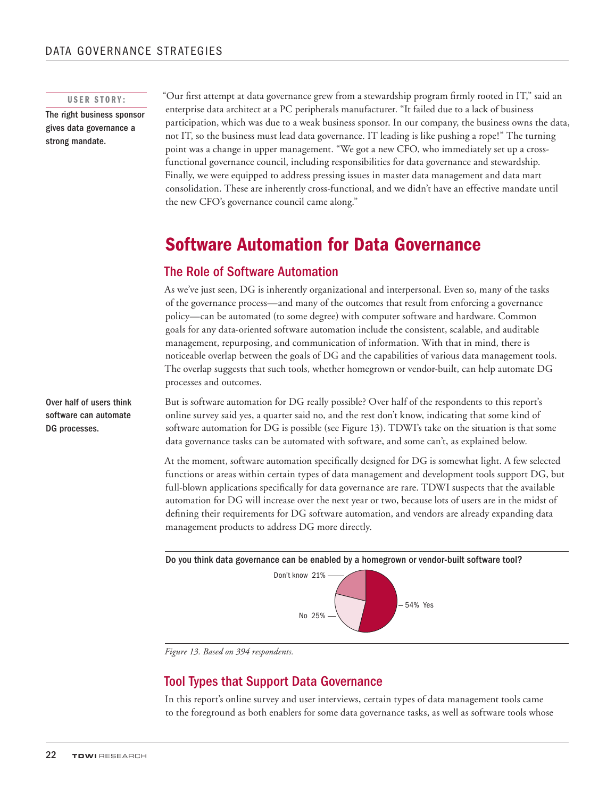### USER STORY:

The right business sponsor gives data governance a strong mandate.

"Our first attempt at data governance grew from a stewardship program firmly rooted in IT," said an enterprise data architect at a PC peripherals manufacturer. "It failed due to a lack of business participation, which was due to a weak business sponsor. In our company, the business owns the data, not IT, so the business must lead data governance. IT leading is like pushing a rope!" The turning point was a change in upper management. "We got a new CFO, who immediately set up a crossfunctional governance council, including responsibilities for data governance and stewardship. Finally, we were equipped to address pressing issues in master data management and data mart consolidation. These are inherently cross-functional, and we didn't have an effective mandate until the new CFO's governance council came along."

## Software Automation for Data Governance

### The Role of Software Automation

As we've just seen, DG is inherently organizational and interpersonal. Even so, many of the tasks of the governance process—and many of the outcomes that result from enforcing a governance policy—can be automated (to some degree) with computer software and hardware. Common goals for any data-oriented software automation include the consistent, scalable, and auditable management, repurposing, and communication of information. With that in mind, there is noticeable overlap between the goals of DG and the capabilities of various data management tools. The overlap suggests that such tools, whether homegrown or vendor-built, can help automate DG processes and outcomes.

But is software automation for DG really possible? Over half of the respondents to this report's online survey said yes, a quarter said no, and the rest don't know, indicating that some kind of software automation for DG is possible (see Figure 13). TDWI's take on the situation is that some data governance tasks can be automated with software, and some can't, as explained below.

At the moment, software automation specifically designed for DG is somewhat light. A few selected functions or areas within certain types of data management and development tools support DG, but full-blown applications specifically for data governance are rare. TDWI suspects that the available automation for DG will increase over the next year or two, because lots of users are in the midst of defining their requirements for DG software automation, and vendors are already expanding data management products to address DG more directly.





*Figure 13. Based on 394 respondents.* 

### Tool Types that Support Data Governance

In this report's online survey and user interviews, certain types of data management tools came to the foreground as both enablers for some data governance tasks, as well as software tools whose

Over half of users think software can automate DG processes.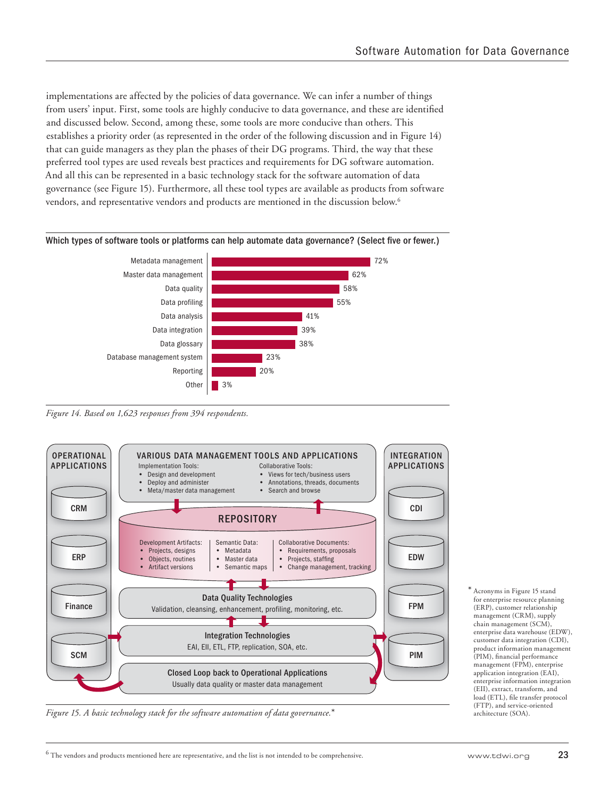implementations are affected by the policies of data governance. We can infer a number of things from users' input. First, some tools are highly conducive to data governance, and these are identified and discussed below. Second, among these, some tools are more conducive than others. This establishes a priority order (as represented in the order of the following discussion and in Figure 14) that can guide managers as they plan the phases of their DG programs. Third, the way that these preferred tool types are used reveals best practices and requirements for DG software automation. And all this can be represented in a basic technology stack for the software automation of data governance (see Figure 15). Furthermore, all these tool types are available as products from software vendors, and representative vendors and products are mentioned in the discussion below.6

#### Which types of software tools or platforms can help automate data governance? (Select five or fewer.)



*Figure 14. Based on 1,623 responses from 394 respondents.* 



*Figure 15. A basic technology stack for the software automation of data governance.*\*

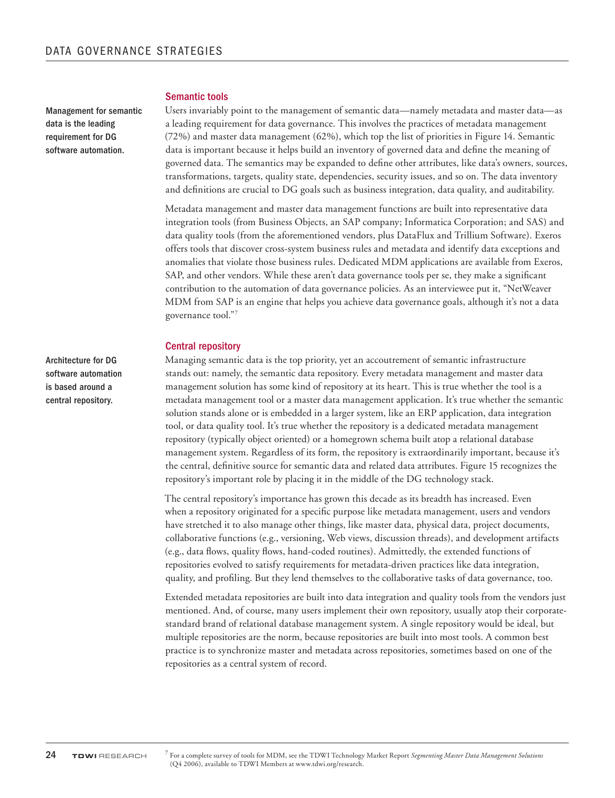Management for semantic data is the leading requirement for DG software automation.

### Semantic tools

Users invariably point to the management of semantic data—namely metadata and master data—as a leading requirement for data governance. This involves the practices of metadata management (72%) and master data management (62%), which top the list of priorities in Figure 14. Semantic data is important because it helps build an inventory of governed data and define the meaning of governed data. The semantics may be expanded to define other attributes, like data's owners, sources, transformations, targets, quality state, dependencies, security issues, and so on. The data inventory and definitions are crucial to DG goals such as business integration, data quality, and auditability.

Metadata management and master data management functions are built into representative data integration tools (from Business Objects, an SAP company; Informatica Corporation; and SAS) and data quality tools (from the aforementioned vendors, plus DataFlux and Trillium Software). Exeros offers tools that discover cross-system business rules and metadata and identify data exceptions and anomalies that violate those business rules. Dedicated MDM applications are available from Exeros, SAP, and other vendors. While these aren't data governance tools per se, they make a significant contribution to the automation of data governance policies. As an interviewee put it, "NetWeaver MDM from SAP is an engine that helps you achieve data governance goals, although it's not a data governance tool."7

#### Central repository

Managing semantic data is the top priority, yet an accoutrement of semantic infrastructure stands out: namely, the semantic data repository. Every metadata management and master data management solution has some kind of repository at its heart. This is true whether the tool is a metadata management tool or a master data management application. It's true whether the semantic solution stands alone or is embedded in a larger system, like an ERP application, data integration tool, or data quality tool. It's true whether the repository is a dedicated metadata management repository (typically object oriented) or a homegrown schema built atop a relational database management system. Regardless of its form, the repository is extraordinarily important, because it's the central, definitive source for semantic data and related data attributes. Figure 15 recognizes the repository's important role by placing it in the middle of the DG technology stack.

The central repository's importance has grown this decade as its breadth has increased. Even when a repository originated for a specific purpose like metadata management, users and vendors have stretched it to also manage other things, like master data, physical data, project documents, collaborative functions (e.g., versioning, Web views, discussion threads), and development artifacts (e.g., data flows, quality flows, hand-coded routines). Admittedly, the extended functions of repositories evolved to satisfy requirements for metadata-driven practices like data integration, quality, and profiling. But they lend themselves to the collaborative tasks of data governance, too.

Extended metadata repositories are built into data integration and quality tools from the vendors just mentioned. And, of course, many users implement their own repository, usually atop their corporatestandard brand of relational database management system. A single repository would be ideal, but multiple repositories are the norm, because repositories are built into most tools. A common best practice is to synchronize master and metadata across repositories, sometimes based on one of the repositories as a central system of record.

Architecture for DG software automation is based around a central repository.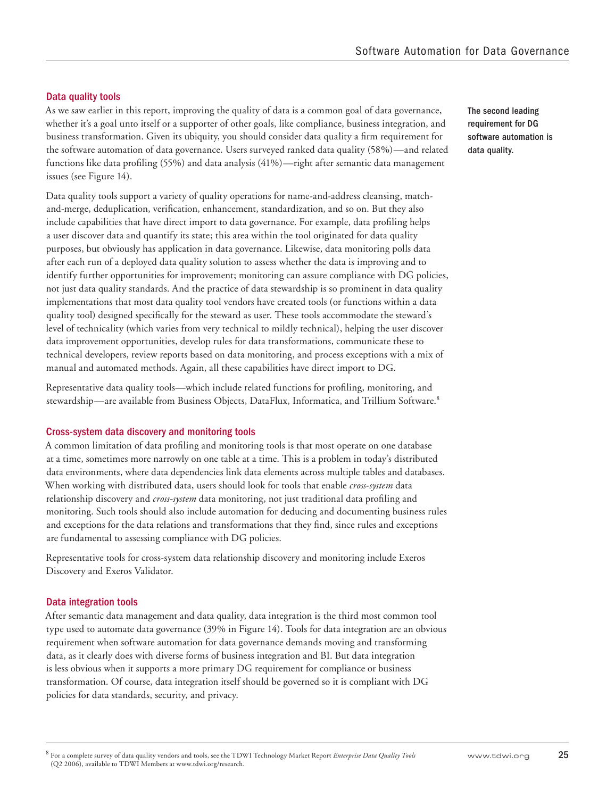### Data quality tools

As we saw earlier in this report, improving the quality of data is a common goal of data governance, whether it's a goal unto itself or a supporter of other goals, like compliance, business integration, and business transformation. Given its ubiquity, you should consider data quality a firm requirement for the software automation of data governance. Users surveyed ranked data quality (58%)—and related functions like data profiling (55%) and data analysis (41%)—right after semantic data management issues (see Figure 14).

Data quality tools support a variety of quality operations for name-and-address cleansing, matchand-merge, deduplication, verification, enhancement, standardization, and so on. But they also include capabilities that have direct import to data governance. For example, data profiling helps a user discover data and quantify its state; this area within the tool originated for data quality purposes, but obviously has application in data governance. Likewise, data monitoring polls data after each run of a deployed data quality solution to assess whether the data is improving and to identify further opportunities for improvement; monitoring can assure compliance with DG policies, not just data quality standards. And the practice of data stewardship is so prominent in data quality implementations that most data quality tool vendors have created tools (or functions within a data quality tool) designed specifically for the steward as user. These tools accommodate the steward's level of technicality (which varies from very technical to mildly technical), helping the user discover data improvement opportunities, develop rules for data transformations, communicate these to technical developers, review reports based on data monitoring, and process exceptions with a mix of manual and automated methods. Again, all these capabilities have direct import to DG.

Representative data quality tools—which include related functions for profiling, monitoring, and stewardship—are available from Business Objects, DataFlux, Informatica, and Trillium Software.8

#### Cross-system data discovery and monitoring tools

A common limitation of data profiling and monitoring tools is that most operate on one database at a time, sometimes more narrowly on one table at a time. This is a problem in today's distributed data environments, where data dependencies link data elements across multiple tables and databases. When working with distributed data, users should look for tools that enable *cross-system* data relationship discovery and *cross-system* data monitoring, not just traditional data profiling and monitoring. Such tools should also include automation for deducing and documenting business rules and exceptions for the data relations and transformations that they find, since rules and exceptions are fundamental to assessing compliance with DG policies.

Representative tools for cross-system data relationship discovery and monitoring include Exeros Discovery and Exeros Validator.

#### Data integration tools

After semantic data management and data quality, data integration is the third most common tool type used to automate data governance (39% in Figure 14). Tools for data integration are an obvious requirement when software automation for data governance demands moving and transforming data, as it clearly does with diverse forms of business integration and BI. But data integration is less obvious when it supports a more primary DG requirement for compliance or business transformation. Of course, data integration itself should be governed so it is compliant with DG policies for data standards, security, and privacy.

The second leading requirement for DG software automation is data quality.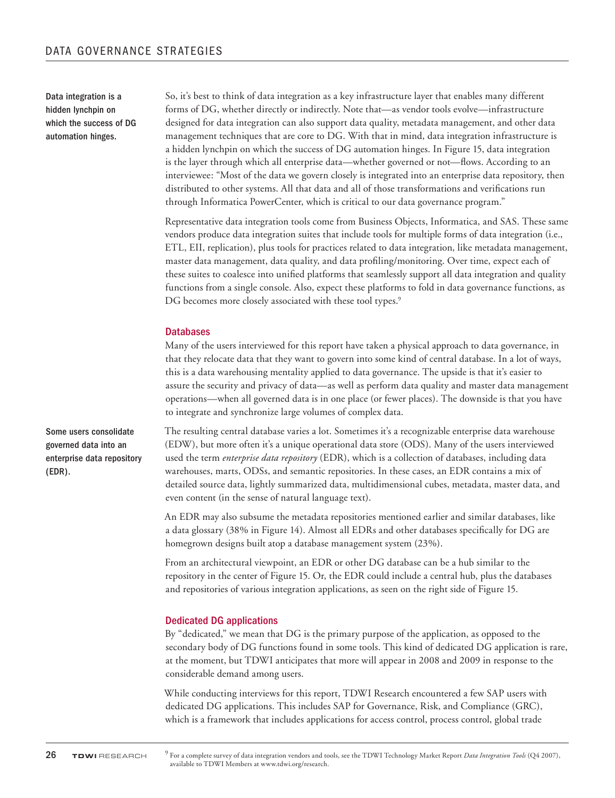Data integration is a hidden lynchpin on which the success of DG automation hinges.

So, it's best to think of data integration as a key infrastructure layer that enables many different forms of DG, whether directly or indirectly. Note that—as vendor tools evolve—infrastructure designed for data integration can also support data quality, metadata management, and other data management techniques that are core to DG. With that in mind, data integration infrastructure is a hidden lynchpin on which the success of DG automation hinges. In Figure 15, data integration is the layer through which all enterprise data—whether governed or not—flows. According to an interviewee: "Most of the data we govern closely is integrated into an enterprise data repository, then distributed to other systems. All that data and all of those transformations and verifications run through Informatica PowerCenter, which is critical to our data governance program."

Representative data integration tools come from Business Objects, Informatica, and SAS. These same vendors produce data integration suites that include tools for multiple forms of data integration (i.e., ETL, EII, replication), plus tools for practices related to data integration, like metadata management, master data management, data quality, and data profiling/monitoring. Over time, expect each of these suites to coalesce into unified platforms that seamlessly support all data integration and quality functions from a single console. Also, expect these platforms to fold in data governance functions, as DG becomes more closely associated with these tool types.<sup>9</sup>

#### **Databases**

Many of the users interviewed for this report have taken a physical approach to data governance, in that they relocate data that they want to govern into some kind of central database. In a lot of ways, this is a data warehousing mentality applied to data governance. The upside is that it's easier to assure the security and privacy of data—as well as perform data quality and master data management operations—when all governed data is in one place (or fewer places). The downside is that you have to integrate and synchronize large volumes of complex data.

The resulting central database varies a lot. Sometimes it's a recognizable enterprise data warehouse (EDW), but more often it's a unique operational data store (ODS). Many of the users interviewed used the term *enterprise data repository* (EDR), which is a collection of databases, including data warehouses, marts, ODSs, and semantic repositories. In these cases, an EDR contains a mix of detailed source data, lightly summarized data, multidimensional cubes, metadata, master data, and even content (in the sense of natural language text).

An EDR may also subsume the metadata repositories mentioned earlier and similar databases, like a data glossary (38% in Figure 14). Almost all EDRs and other databases specifically for DG are homegrown designs built atop a database management system (23%).

From an architectural viewpoint, an EDR or other DG database can be a hub similar to the repository in the center of Figure 15. Or, the EDR could include a central hub, plus the databases and repositories of various integration applications, as seen on the right side of Figure 15.

#### Dedicated DG applications

By "dedicated," we mean that DG is the primary purpose of the application, as opposed to the secondary body of DG functions found in some tools. This kind of dedicated DG application is rare, at the moment, but TDWI anticipates that more will appear in 2008 and 2009 in response to the considerable demand among users.

While conducting interviews for this report, TDWI Research encountered a few SAP users with dedicated DG applications. This includes SAP for Governance, Risk, and Compliance (GRC), which is a framework that includes applications for access control, process control, global trade

Some users consolidate governed data into an enterprise data repository (EDR).

<sup>9</sup> For a complete survey of data integration vendors and tools, see the TDWI Technology Market Report *Data Integration Tools* (Q4 2007), available to TDWI Members at www.tdwi.org/research.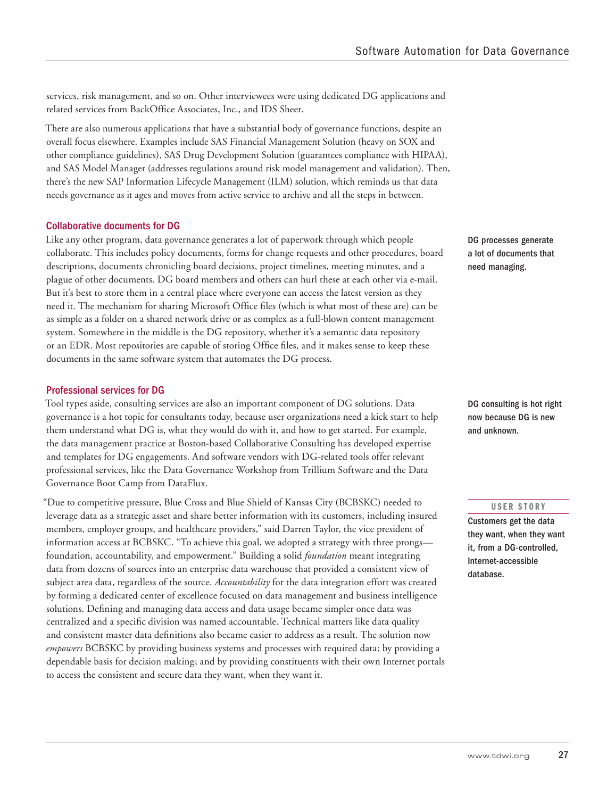services, risk management, and so on. Other interviewees were using dedicated DG applications and related services from BackOffice Associates, Inc., and IDS Sheer.

There are also numerous applications that have a substantial body of governance functions, despite an overall focus elsewhere. Examples include SAS Financial Management Solution (heavy on SOX and other compliance guidelines), SAS Drug Development Solution (guarantees compliance with HIPAA), and SAS Model Manager (addresses regulations around risk model management and validation). Then, there's the new SAP Information Lifecycle Management (ILM) solution, which reminds us that data needs governance as it ages and moves from active service to archive and all the steps in between.

### Collaborative documents for DG

Like any other program, data governance generates a lot of paperwork through which people collaborate. This includes policy documents, forms for change requests and other procedures, board descriptions, documents chronicling board decisions, project timelines, meeting minutes, and a plague of other documents. DG board members and others can hurl these at each other via e-mail. But it's best to store them in a central place where everyone can access the latest version as they need it. The mechanism for sharing Microsoft Office files (which is what most of these are) can be as simple as a folder on a shared network drive or as complex as a full-blown content management system. Somewhere in the middle is the DG repository, whether it's a semantic data repository or an EDR. Most repositories are capable of storing Office files, and it makes sense to keep these documents in the same software system that automates the DG process.

### Professional services for DG

Tool types aside, consulting services are also an important component of DG solutions. Data governance is a hot topic for consultants today, because user organizations need a kick start to help them understand what DG is, what they would do with it, and how to get started. For example, the data management practice at Boston-based Collaborative Consulting has developed expertise and templates for DG engagements. And software vendors with DG-related tools offer relevant professional services, like the Data Governance Workshop from Trillium Software and the Data Governance Boot Camp from DataFlux.

"Due to competitive pressure, Blue Cross and Blue Shield of Kansas City (BCBSKC) needed to leverage data as a strategic asset and share better information with its customers, including insured members, employer groups, and healthcare providers," said Darren Taylor, the vice president of information access at BCBSKC. "To achieve this goal, we adopted a strategy with three prongs foundation, accountability, and empowerment." Building a solid *foundation* meant integrating data from dozens of sources into an enterprise data warehouse that provided a consistent view of subject area data, regardless of the source. *Accountability* for the data integration effort was created by forming a dedicated center of excellence focused on data management and business intelligence solutions. Defining and managing data access and data usage became simpler once data was centralized and a specific division was named accountable. Technical matters like data quality and consistent master data definitions also became easier to address as a result. The solution now *empowers* BCBSKC by providing business systems and processes with required data; by providing a dependable basis for decision making; and by providing constituents with their own Internet portals to access the consistent and secure data they want, when they want it.

DG processes generate a lot of documents that need managing.

DG consulting is hot right now because DG is new and unknown.

#### USER STORY

Customers get the data they want, when they want it, from a DG-controlled, Internet-accessible database.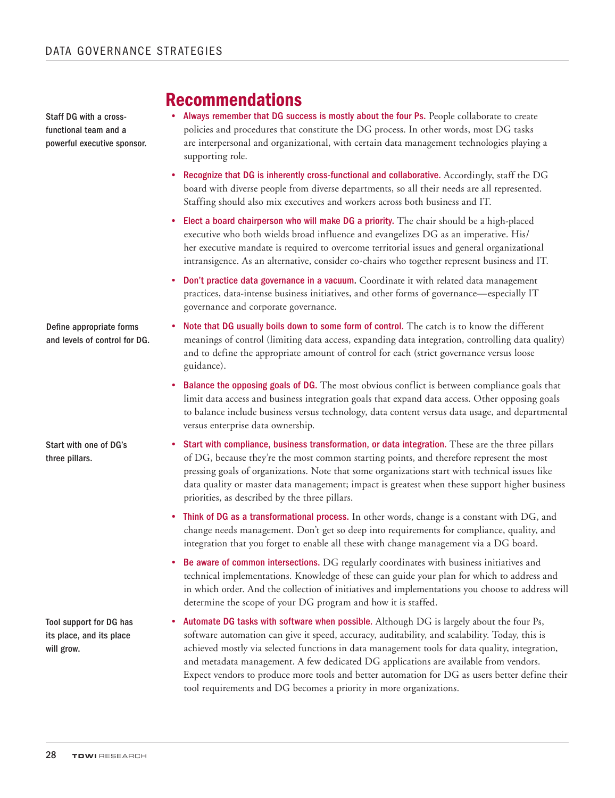Staff DG with a crossfunctional team and a powerful executive sponsor.

### Recommendations

- Always remember that DG success is mostly about the four Ps. People collaborate to create policies and procedures that constitute the DG process. In other words, most DG tasks are interpersonal and organizational, with certain data management technologies playing a supporting role.
- Recognize that DG is inherently cross-functional and collaborative. Accordingly, staff the DG board with diverse people from diverse departments, so all their needs are all represented. Staffing should also mix executives and workers across both business and IT.
- Elect a board chairperson who will make DG a priority. The chair should be a high-placed executive who both wields broad influence and evangelizes DG as an imperative. His/ her executive mandate is required to overcome territorial issues and general organizational intransigence. As an alternative, consider co-chairs who together represent business and IT.
- Don't practice data governance in a vacuum. Coordinate it with related data management practices, data-intense business initiatives, and other forms of governance—especially IT governance and corporate governance.
- Note that DG usually boils down to some form of control. The catch is to know the different meanings of control (limiting data access, expanding data integration, controlling data quality) and to define the appropriate amount of control for each (strict governance versus loose guidance).
	- Balance the opposing goals of DG. The most obvious conflict is between compliance goals that limit data access and business integration goals that expand data access. Other opposing goals to balance include business versus technology, data content versus data usage, and departmental versus enterprise data ownership.
- Start with compliance, business transformation, or data integration. These are the three pillars of DG, because they're the most common starting points, and therefore represent the most pressing goals of organizations. Note that some organizations start with technical issues like data quality or master data management; impact is greatest when these support higher business priorities, as described by the three pillars.
	- • Think of DG as a transformational process. In other words, change is a constant with DG, and change needs management. Don't get so deep into requirements for compliance, quality, and integration that you forget to enable all these with change management via a DG board.
	- • Be aware of common intersections. DG regularly coordinates with business initiatives and technical implementations. Knowledge of these can guide your plan for which to address and in which order. And the collection of initiatives and implementations you choose to address will determine the scope of your DG program and how it is staffed.
	- Automate DG tasks with software when possible. Although DG is largely about the four Ps, software automation can give it speed, accuracy, auditability, and scalability. Today, this is achieved mostly via selected functions in data management tools for data quality, integration, and metadata management. A few dedicated DG applications are available from vendors. Expect vendors to produce more tools and better automation for DG as users better define their tool requirements and DG becomes a priority in more organizations.

Start with one of DG's three pillars.

Define appropriate forms and levels of control for DG.

Tool support for DG has its place, and its place will grow.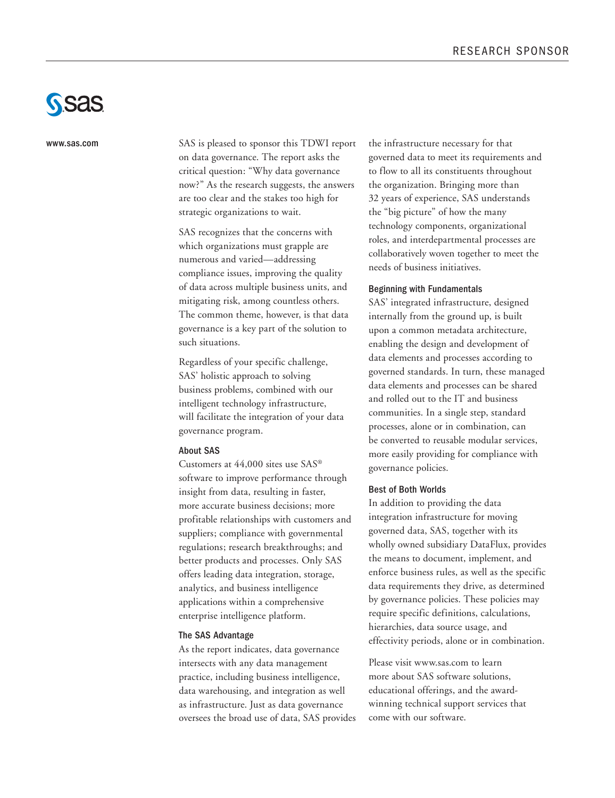

www.sas.com

SAS is pleased to sponsor this TDWI report on data governance. The report asks the critical question: "Why data governance now?" As the research suggests, the answers are too clear and the stakes too high for strategic organizations to wait.

SAS recognizes that the concerns with which organizations must grapple are numerous and varied—addressing compliance issues, improving the quality of data across multiple business units, and mitigating risk, among countless others. The common theme, however, is that data governance is a key part of the solution to such situations.

Regardless of your specific challenge, SAS' holistic approach to solving business problems, combined with our intelligent technology infrastructure, will facilitate the integration of your data governance program.

#### About SAS

Customers at 44,000 sites use SAS® software to improve performance through insight from data, resulting in faster, more accurate business decisions; more profitable relationships with customers and suppliers; compliance with governmental regulations; research breakthroughs; and better products and processes. Only SAS offers leading data integration, storage, analytics, and business intelligence applications within a comprehensive enterprise intelligence platform.

#### The SAS Advantage

As the report indicates, data governance intersects with any data management practice, including business intelligence, data warehousing, and integration as well as infrastructure. Just as data governance oversees the broad use of data, SAS provides the infrastructure necessary for that governed data to meet its requirements and to flow to all its constituents throughout the organization. Bringing more than 32 years of experience, SAS understands the "big picture" of how the many technology components, organizational roles, and interdepartmental processes are collaboratively woven together to meet the needs of business initiatives.

#### Beginning with Fundamentals

SAS' integrated infrastructure, designed internally from the ground up, is built upon a common metadata architecture, enabling the design and development of data elements and processes according to governed standards. In turn, these managed data elements and processes can be shared and rolled out to the IT and business communities. In a single step, standard processes, alone or in combination, can be converted to reusable modular services, more easily providing for compliance with governance policies.

#### Best of Both Worlds

In addition to providing the data integration infrastructure for moving governed data, SAS, together with its wholly owned subsidiary DataFlux, provides the means to document, implement, and enforce business rules, as well as the specific data requirements they drive, as determined by governance policies. These policies may require specific definitions, calculations, hierarchies, data source usage, and effectivity periods, alone or in combination.

Please visit www.sas.com to learn more about SAS software solutions, educational offerings, and the awardwinning technical support services that come with our software.